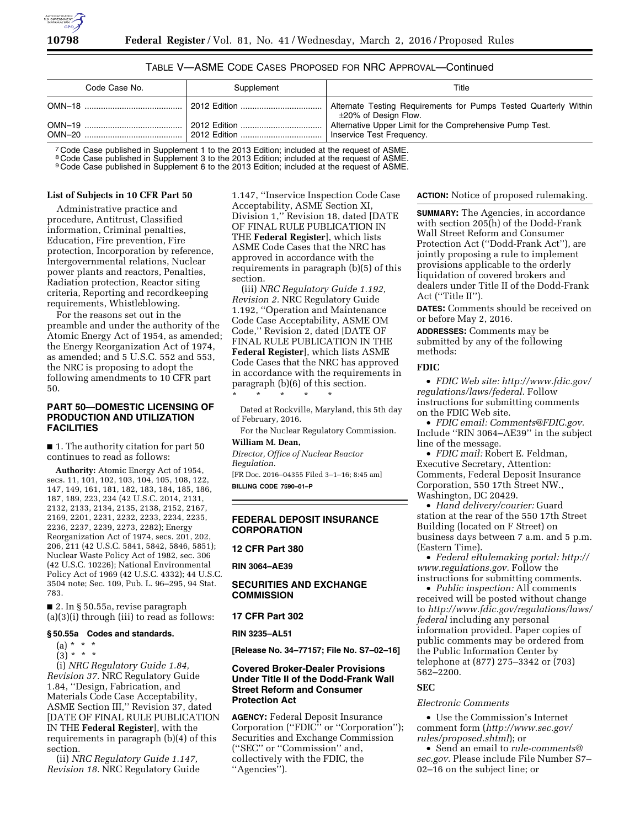# TABLE V—ASME CODE CASES PROPOSED FOR NRC APPROVAL—Continued

| Code Case No. | Supplement   | Title                                                                                    |
|---------------|--------------|------------------------------------------------------------------------------------------|
|               |              | Alternate Testing Requirements for Pumps Tested Quarterly Within<br>±20% of Design Flow. |
|               | 2012 Edition | Alternative Upper Limit for the Comprehensive Pump Test.<br>Inservice Test Frequency.    |

<sup>7</sup> Code Case published in Supplement 1 to the 2013 Edition; included at the request of ASME.

<sup>8</sup> Code Case published in Supplement 3 to the 2013 Edition; included at the request of ASME

9 Code Case published in Supplement 6 to the 2013 Edition; included at the request of ASME.

#### **List of Subjects in 10 CFR Part 50**

Administrative practice and procedure, Antitrust, Classified information, Criminal penalties, Education, Fire prevention, Fire protection, Incorporation by reference, Intergovernmental relations, Nuclear power plants and reactors, Penalties, Radiation protection, Reactor siting criteria, Reporting and recordkeeping requirements, Whistleblowing.

For the reasons set out in the preamble and under the authority of the Atomic Energy Act of 1954, as amended; the Energy Reorganization Act of 1974, as amended; and 5 U.S.C. 552 and 553, the NRC is proposing to adopt the following amendments to 10 CFR part 50.

# **PART 50—DOMESTIC LICENSING OF PRODUCTION AND UTILIZATION FACILITIES**

■ 1. The authority citation for part 50 continues to read as follows:

**Authority:** Atomic Energy Act of 1954, secs. 11, 101, 102, 103, 104, 105, 108, 122, 147, 149, 161, 181, 182, 183, 184, 185, 186, 187, 189, 223, 234 (42 U.S.C. 2014, 2131, 2132, 2133, 2134, 2135, 2138, 2152, 2167, 2169, 2201, 2231, 2232, 2233, 2234, 2235, 2236, 2237, 2239, 2273, 2282); Energy Reorganization Act of 1974, secs. 201, 202, 206, 211 (42 U.S.C. 5841, 5842, 5846, 5851); Nuclear Waste Policy Act of 1982, sec. 306 (42 U.S.C. 10226); National Environmental Policy Act of 1969 (42 U.S.C. 4332); 44 U.S.C. 3504 note; Sec. 109, Pub. L. 96–295, 94 Stat. 783.

■ 2. In § 50.55a, revise paragraph (a)(3)(i) through (iii) to read as follows:

#### **§ 50.55a Codes and standards.**

(a) \* \* \*

 $(3) * * * *$ 

(i) *NRC Regulatory Guide 1.84, Revision 37.* NRC Regulatory Guide 1.84, ''Design, Fabrication, and Materials Code Case Acceptability, ASME Section III,'' Revision 37, dated [DATE OF FINAL RULE PUBLICATION IN THE **Federal Register**], with the requirements in paragraph (b)(4) of this section.

(ii) *NRC Regulatory Guide 1.147, Revision 18.* NRC Regulatory Guide

1.147, ''Inservice Inspection Code Case Acceptability, ASME Section XI, Division 1,'' Revision 18, dated [DATE OF FINAL RULE PUBLICATION IN THE **Federal Register**], which lists ASME Code Cases that the NRC has approved in accordance with the requirements in paragraph (b)(5) of this section.

(iii) *NRC Regulatory Guide 1.192, Revision 2.* NRC Regulatory Guide 1.192, ''Operation and Maintenance Code Case Acceptability, ASME OM Code,'' Revision 2, dated [DATE OF FINAL RULE PUBLICATION IN THE **Federal Register**], which lists ASME Code Cases that the NRC has approved in accordance with the requirements in paragraph (b)(6) of this section. \* \* \* \* \*

Dated at Rockville, Maryland, this 5th day of February, 2016.

For the Nuclear Regulatory Commission.

# **William M. Dean,**

*Director, Office of Nuclear Reactor Regulation.* 

[FR Doc. 2016–04355 Filed 3–1–16; 8:45 am] **BILLING CODE 7590–01–P** 

# **FEDERAL DEPOSIT INSURANCE CORPORATION**

**12 CFR Part 380** 

**RIN 3064–AE39** 

# **SECURITIES AND EXCHANGE COMMISSION**

#### **17 CFR Part 302**

#### **RIN 3235–AL51**

**[Release No. 34–77157; File No. S7–02–16]** 

## **Covered Broker-Dealer Provisions Under Title II of the Dodd-Frank Wall Street Reform and Consumer Protection Act**

**AGENCY:** Federal Deposit Insurance Corporation ("FDIC" or "Corporation"); Securities and Exchange Commission (''SEC'' or ''Commission'' and, collectively with the FDIC, the ''Agencies'').

**ACTION:** Notice of proposed rulemaking.

**SUMMARY:** The Agencies, in accordance with section 205(h) of the Dodd-Frank Wall Street Reform and Consumer Protection Act (''Dodd-Frank Act''), are jointly proposing a rule to implement provisions applicable to the orderly liquidation of covered brokers and dealers under Title II of the Dodd-Frank Act (''Title II'').

**DATES:** Comments should be received on or before May 2, 2016.

**ADDRESSES:** Comments may be submitted by any of the following methods:

## **FDIC**

• *FDIC Web site: [http://www.fdic.gov/](http://www.fdic.gov/regulations/laws/federal)  [regulations/laws/federal.](http://www.fdic.gov/regulations/laws/federal)* Follow instructions for submitting comments on the FDIC Web site.

• *FDIC email: [Comments@FDIC.gov.](mailto:Comments@FDIC.gov)*  Include ''RIN 3064–AE39'' in the subject line of the message.

• *FDIC mail:* Robert E. Feldman, Executive Secretary, Attention: Comments, Federal Deposit Insurance Corporation, 550 17th Street NW., Washington, DC 20429.

• *Hand delivery/courier:* Guard station at the rear of the 550 17th Street Building (located on F Street) on business days between 7 a.m. and 5 p.m. (Eastern Time).

• *Federal eRulemaking portal: [http://](http://www.regulations.gov)  [www.regulations.gov.](http://www.regulations.gov)* Follow the instructions for submitting comments.

• *Public inspection:* All comments received will be posted without change to *[http://www.fdic.gov/regulations/laws/](http://www.fdic.gov/regulations/laws/federal)  [federal](http://www.fdic.gov/regulations/laws/federal)* including any personal information provided. Paper copies of public comments may be ordered from the Public Information Center by telephone at (877) 275–3342 or (703) 562–2200.

#### **SEC**

#### *Electronic Comments*

• Use the Commission's Internet comment form (*[http://www.sec.gov/](http://www.sec.gov/rules/proposed.shtml) [rules/proposed.shtml](http://www.sec.gov/rules/proposed.shtml)*); or

• Send an email to *[rule-comments@](mailto:rule-comments@sec.gov) [sec.gov.](mailto:rule-comments@sec.gov)* Please include File Number S7– 02–16 on the subject line; or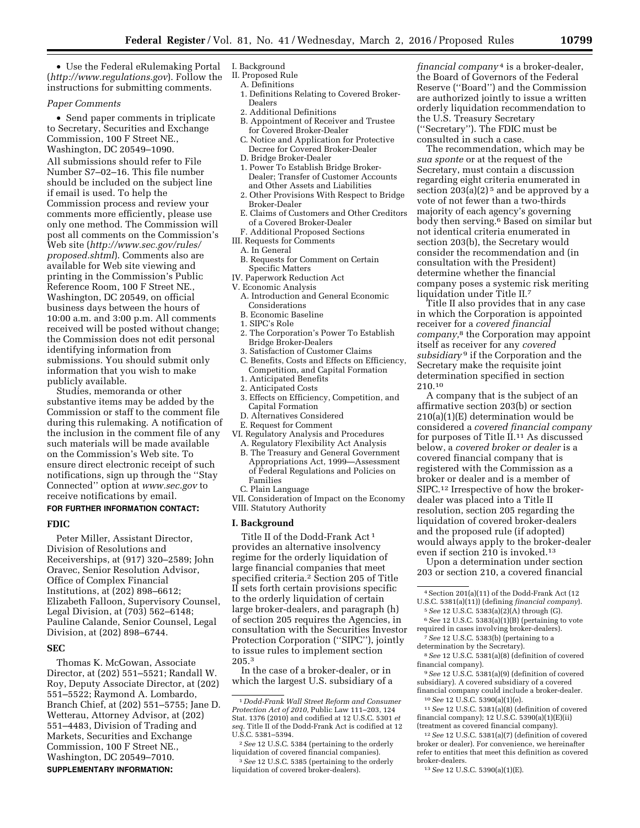• Use the Federal eRulemaking Portal (*<http://www.regulations.gov>*). Follow the instructions for submitting comments.

#### *Paper Comments*

• Send paper comments in triplicate to Secretary, Securities and Exchange Commission, 100 F Street NE., Washington, DC 20549–1090.

All submissions should refer to File Number S7–02–16. This file number should be included on the subject line if email is used. To help the Commission process and review your comments more efficiently, please use only one method. The Commission will post all comments on the Commission's Web site (*[http://www.sec.gov/rules/](http://www.sec.gov/rules/proposed.shtml) [proposed.shtml](http://www.sec.gov/rules/proposed.shtml)*). Comments also are available for Web site viewing and printing in the Commission's Public Reference Room, 100 F Street NE., Washington, DC 20549, on official business days between the hours of 10:00 a.m. and 3:00 p.m. All comments received will be posted without change; the Commission does not edit personal identifying information from submissions. You should submit only information that you wish to make publicly available.

Studies, memoranda or other substantive items may be added by the Commission or staff to the comment file during this rulemaking. A notification of the inclusion in the comment file of any such materials will be made available on the Commission's Web site. To ensure direct electronic receipt of such notifications, sign up through the ''Stay Connected'' option at *[www.sec.gov](http://www.sec.gov)* to receive notifications by email.

## **FOR FURTHER INFORMATION CONTACT:**

#### **FDIC**

Peter Miller, Assistant Director, Division of Resolutions and Receiverships, at (917) 320–2589; John Oravec, Senior Resolution Advisor, Office of Complex Financial Institutions, at (202) 898–6612; Elizabeth Falloon, Supervisory Counsel, Legal Division, at (703) 562–6148; Pauline Calande, Senior Counsel, Legal Division, at (202) 898–6744.

## **SEC**

Thomas K. McGowan, Associate Director, at (202) 551–5521; Randall W. Roy, Deputy Associate Director, at (202) 551–5522; Raymond A. Lombardo, Branch Chief, at (202) 551–5755; Jane D. Wetterau, Attorney Advisor, at (202) 551–4483, Division of Trading and Markets, Securities and Exchange Commission, 100 F Street NE., Washington, DC 20549–7010. **SUPPLEMENTARY INFORMATION:** 

# I. Background

- II. Proposed Rule
- A. Definitions
- 1. Definitions Relating to Covered Broker-Dealers
- 2. Additional Definitions
- B. Appointment of Receiver and Trustee for Covered Broker-Dealer
- C. Notice and Application for Protective Decree for Covered Broker-Dealer
- D. Bridge Broker-Dealer
- 1. Power To Establish Bridge Broker-Dealer; Transfer of Customer Accounts and Other Assets and Liabilities
- 2. Other Provisions With Respect to Bridge Broker-Dealer
- E. Claims of Customers and Other Creditors of a Covered Broker-Dealer
- F. Additional Proposed Sections
- III. Requests for Comments
- A. In General
- B. Requests for Comment on Certain Specific Matters
- IV. Paperwork Reduction Act
- V. Economic Analysis
	- A. Introduction and General Economic Considerations
	- B. Economic Baseline
	- 1. SIPC's Role
	- 2. The Corporation's Power To Establish Bridge Broker-Dealers
	- 3. Satisfaction of Customer Claims C. Benefits, Costs and Effects on Efficiency,
	- Competition, and Capital Formation 1. Anticipated Benefits
	- 2. Anticipated Costs
	- 3. Effects on Efficiency, Competition, and
	- Capital Formation
- D. Alternatives Considered
- E. Request for Comment
- VI. Regulatory Analysis and Procedures A. Regulatory Flexibility Act Analysis
	- B. The Treasury and General Government Appropriations Act, 1999—Assessment of Federal Regulations and Policies on Families
- C. Plain Language
- VII. Consideration of Impact on the Economy VIII. Statutory Authority

#### **I. Background**

Title II of the Dodd-Frank Act 1 provides an alternative insolvency regime for the orderly liquidation of large financial companies that meet specified criteria.2 Section 205 of Title II sets forth certain provisions specific to the orderly liquidation of certain large broker-dealers, and paragraph (h) of section 205 requires the Agencies, in consultation with the Securities Investor Protection Corporation ("SIPC"), jointly to issue rules to implement section 205.3

In the case of a broker-dealer, or in which the largest U.S. subsidiary of a

2*See* 12 U.S.C. 5384 (pertaining to the orderly liquidation of covered financial companies).

3*See* 12 U.S.C. 5385 (pertaining to the orderly liquidation of covered broker-dealers).

*financial company* 4 is a broker-dealer, the Board of Governors of the Federal Reserve (''Board'') and the Commission are authorized jointly to issue a written orderly liquidation recommendation to the U.S. Treasury Secretary (''Secretary''). The FDIC must be consulted in such a case.

The recommendation, which may be *sua sponte* or at the request of the Secretary, must contain a discussion regarding eight criteria enumerated in section  $203(a)(2)^5$  and be approved by a vote of not fewer than a two-thirds majority of each agency's governing body then serving.6 Based on similar but not identical criteria enumerated in section 203(b), the Secretary would consider the recommendation and (in consultation with the President) determine whether the financial company poses a systemic risk meriting liquidation under Title II.7

Title II also provides that in any case in which the Corporation is appointed receiver for a *covered financial company,*8 the Corporation may appoint itself as receiver for any *covered subsidiary* 9 if the Corporation and the Secretary make the requisite joint determination specified in section 210.10

A company that is the subject of an affirmative section 203(b) or section 210(a)(1)(E) determination would be considered a *covered financial company*  for purposes of Title II.11 As discussed below, a *covered broker or dealer* is a covered financial company that is registered with the Commission as a broker or dealer and is a member of SIPC.12 Irrespective of how the brokerdealer was placed into a Title II resolution, section 205 regarding the liquidation of covered broker-dealers and the proposed rule (if adopted) would always apply to the broker-dealer even if section 210 is invoked.13

Upon a determination under section 203 or section 210, a covered financial

- required in cases involving broker-dealers). 7*See* 12 U.S.C. 5383(b) (pertaining to a
- determination by the Secretary).

8*See* 12 U.S.C. 5381(a)(8) (definition of covered financial company).

9*See* 12 U.S.C. 5381(a)(9) (definition of covered subsidiary). A covered subsidiary of a covered financial company could include a broker-dealer. 10*See* 12 U.S.C. 5390(a)(1)(e).

11*See* 12 U.S.C. 5381(a)(8) (definition of covered financial company); 12 U.S.C. 5390(a)(1)(E)(ii) (treatment as covered financial company).

12*See* 12 U.S.C. 5381(a)(7) (definition of covered broker or dealer). For convenience, we hereinafter refer to entities that meet this definition as covered broker-dealers.

13*See* 12 U.S.C. 5390(a)(1)(E).

<sup>1</sup> *Dodd-Frank Wall Street Reform and Consumer Protection Act of 2010,* Public Law 111–203, 124 Stat. 1376 (2010) and codified at 12 U.S.C. 5301 *et seq.* Title II of the Dodd-Frank Act is codified at 12 U.S.C. 5381–5394.

<sup>4</sup>Section 201(a)(11) of the Dodd-Frank Act (12 U.S.C. 5381(a)(11)) (defining *financial company*).

<sup>5</sup>*See* 12 U.S.C. 5383(a)(2)(A) through (G). 6*See* 12 U.S.C. 5383(a)(1)(B) (pertaining to vote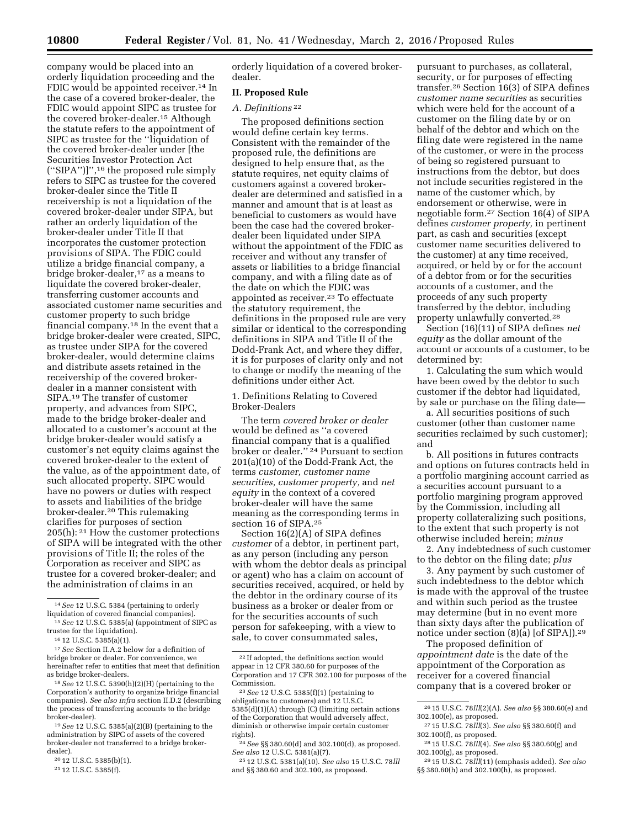company would be placed into an orderly liquidation proceeding and the FDIC would be appointed receiver.<sup>14</sup> In the case of a covered broker-dealer, the FDIC would appoint SIPC as trustee for the covered broker-dealer.15 Although the statute refers to the appointment of SIPC as trustee for the ''liquidation of the covered broker-dealer under [the Securities Investor Protection Act (''SIPA'')]'',16 the proposed rule simply refers to SIPC as trustee for the covered broker-dealer since the Title II receivership is not a liquidation of the covered broker-dealer under SIPA, but rather an orderly liquidation of the broker-dealer under Title II that incorporates the customer protection provisions of SIPA. The FDIC could utilize a bridge financial company, a bridge broker-dealer,<sup>17</sup> as a means to liquidate the covered broker-dealer, transferring customer accounts and associated customer name securities and customer property to such bridge financial company.18 In the event that a bridge broker-dealer were created, SIPC, as trustee under SIPA for the covered broker-dealer, would determine claims and distribute assets retained in the receivership of the covered brokerdealer in a manner consistent with SIPA.19 The transfer of customer property, and advances from SIPC, made to the bridge broker-dealer and allocated to a customer's account at the bridge broker-dealer would satisfy a customer's net equity claims against the covered broker-dealer to the extent of the value, as of the appointment date, of such allocated property. SIPC would have no powers or duties with respect to assets and liabilities of the bridge broker-dealer.20 This rulemaking clarifies for purposes of section 205(h): 21 How the customer protections of SIPA will be integrated with the other provisions of Title II; the roles of the Corporation as receiver and SIPC as trustee for a covered broker-dealer; and the administration of claims in an

20 12 U.S.C. 5385(b)(1).

orderly liquidation of a covered brokerdealer.

# **II. Proposed Rule**

## *A. Definitions* 22

The proposed definitions section would define certain key terms. Consistent with the remainder of the proposed rule, the definitions are designed to help ensure that, as the statute requires, net equity claims of customers against a covered brokerdealer are determined and satisfied in a manner and amount that is at least as beneficial to customers as would have been the case had the covered brokerdealer been liquidated under SIPA without the appointment of the FDIC as receiver and without any transfer of assets or liabilities to a bridge financial company, and with a filing date as of the date on which the FDIC was appointed as receiver.23 To effectuate the statutory requirement, the definitions in the proposed rule are very similar or identical to the corresponding definitions in SIPA and Title II of the Dodd-Frank Act, and where they differ, it is for purposes of clarity only and not to change or modify the meaning of the definitions under either Act.

1. Definitions Relating to Covered Broker-Dealers

The term *covered broker or dealer*  would be defined as ''a covered financial company that is a qualified broker or dealer.'' 24 Pursuant to section 201(a)(10) of the Dodd-Frank Act, the terms *customer, customer name securities, customer property,* and *net equity* in the context of a covered broker-dealer will have the same meaning as the corresponding terms in section 16 of SIPA.25

Section 16(2)(A) of SIPA defines *customer* of a debtor, in pertinent part, as any person (including any person with whom the debtor deals as principal or agent) who has a claim on account of securities received, acquired, or held by the debtor in the ordinary course of its business as a broker or dealer from or for the securities accounts of such person for safekeeping, with a view to sale, to cover consummated sales,

25 12 U.S.C. 5381(a)(10). *See also* 15 U.S.C. 78*lll*  and §§ 380.60 and 302.100, as proposed.

pursuant to purchases, as collateral, security, or for purposes of effecting transfer.26 Section 16(3) of SIPA defines *customer name securities* as securities which were held for the account of a customer on the filing date by or on behalf of the debtor and which on the filing date were registered in the name of the customer, or were in the process of being so registered pursuant to instructions from the debtor, but does not include securities registered in the name of the customer which, by endorsement or otherwise, were in negotiable form.27 Section 16(4) of SIPA defines *customer property,* in pertinent part, as cash and securities (except customer name securities delivered to the customer) at any time received, acquired, or held by or for the account of a debtor from or for the securities accounts of a customer, and the proceeds of any such property transferred by the debtor, including property unlawfully converted.28

Section (16)(11) of SIPA defines *net equity* as the dollar amount of the account or accounts of a customer, to be determined by:

1. Calculating the sum which would have been owed by the debtor to such customer if the debtor had liquidated, by sale or purchase on the filing date—

a. All securities positions of such customer (other than customer name securities reclaimed by such customer); and

b. All positions in futures contracts and options on futures contracts held in a portfolio margining account carried as a securities account pursuant to a portfolio margining program approved by the Commission, including all property collateralizing such positions, to the extent that such property is not otherwise included herein; *minus* 

2. Any indebtedness of such customer to the debtor on the filing date; *plus* 

3. Any payment by such customer of such indebtedness to the debtor which is made with the approval of the trustee and within such period as the trustee may determine (but in no event more than sixty days after the publication of notice under section (8)(a) [of SIPA]).29

The proposed definition of *appointment date* is the date of the appointment of the Corporation as receiver for a covered financial company that is a covered broker or

28 15 U.S.C. 78*lll*(4). *See also* §§ 380.60(g) and 302.100(g), as proposed.

<sup>14</sup>*See* 12 U.S.C. 5384 (pertaining to orderly liquidation of covered financial companies).

<sup>15</sup>*See* 12 U.S.C. 5385(a) (appointment of SIPC as trustee for the liquidation).

<sup>16</sup> 12 U.S.C. 5385(a)(1).

<sup>17</sup>*See* Section II.A.2 below for a definition of bridge broker or dealer. For convenience, we hereinafter refer to entities that meet that definition as bridge broker-dealers.

<sup>18</sup>*See* 12 U.S.C. 5390(h)(2)(H) (pertaining to the Corporation's authority to organize bridge financial companies). *See also infra* section II.D.2 (describing the process of transferring accounts to the bridge broker-dealer).

<sup>19</sup>*See* 12 U.S.C. 5385(a)(2)(B) (pertaining to the administration by SIPC of assets of the covered broker-dealer not transferred to a bridge brokerdealer).

<sup>21</sup> 12 U.S.C. 5385(f).

<sup>22</sup> If adopted, the definitions section would appear in 12 CFR 380.60 for purposes of the Corporation and 17 CFR 302.100 for purposes of the Commission.

<sup>23</sup>*See* 12 U.S.C. 5385(f)(1) (pertaining to obligations to customers) and 12 U.S.C. 5385(d)(1)(A) through (C) (limiting certain actions of the Corporation that would adversely affect, diminish or otherwise impair certain customer rights).

<sup>24</sup>*See* §§ 380.60(d) and 302.100(d), as proposed. *See also* 12 U.S.C. 5381(a)(7).

<sup>26</sup> 15 U.S.C. 78*lll*(2)(A). *See also* §§ 380.60(e) and 302.100(e), as proposed.

<sup>27</sup> 15 U.S.C. 78*lll*(3). *See also* §§ 380.60(f) and 302.100(f), as proposed.

<sup>29</sup> 15 U.S.C. 78*lll*(11) (emphasis added). *See also*  §§ 380.60(h) and 302.100(h), as proposed.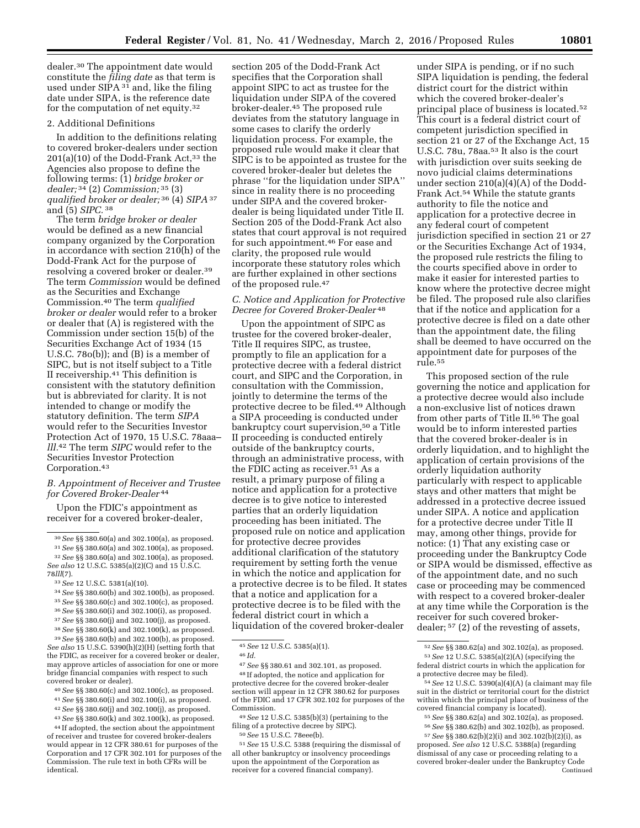dealer.30 The appointment date would constitute the *filing date* as that term is used under SIPA 31 and, like the filing date under SIPA, is the reference date for the computation of net equity.32

# 2. Additional Definitions

In addition to the definitions relating to covered broker-dealers under section  $201(a)(10)$  of the Dodd-Frank Act,<sup>33</sup> the Agencies also propose to define the following terms: (1) *bridge broker or dealer;* 34 (2) *Commission;* 35 (3) *qualified broker or dealer;* 36 (4) *SIPA* 37 and (5) *SIPC.* 38

The term *bridge broker or dealer*  would be defined as a new financial company organized by the Corporation in accordance with section 210(h) of the Dodd-Frank Act for the purpose of resolving a covered broker or dealer.39 The term *Commission* would be defined as the Securities and Exchange Commission.40 The term *qualified broker or dealer* would refer to a broker or dealer that (A) is registered with the Commission under section 15(b) of the Securities Exchange Act of 1934 (15 U.S.C. 78o(b)); and (B) is a member of SIPC, but is not itself subject to a Title II receivership.41 This definition is consistent with the statutory definition but is abbreviated for clarity. It is not intended to change or modify the statutory definition. The term *SIPA*  would refer to the Securities Investor Protection Act of 1970, 15 U.S.C. 78aaa– *lll.*42 The term *SIPC* would refer to the Securities Investor Protection Corporation.43

## *B. Appointment of Receiver and Trustee for Covered Broker-Dealer* 44

Upon the FDIC's appointment as receiver for a covered broker-dealer,

35*See* §§ 380.60(c) and 302.100(c), as proposed.

- 40*See* §§ 380.60(c) and 302.100(c), as proposed.
- 41*See* §§ 380.60(i) and 302.100(i), as proposed.
- 42*See* §§ 380.60(j) and 302.100(j), as proposed.
- 43*See* §§ 380.60(k) and 302.100(k), as proposed.

44 If adopted, the section about the appointment of receiver and trustee for covered broker-dealers would appear in 12 CFR 380.61 for purposes of the

Corporation and 17 CFR 302.101 for purposes of the Commission. The rule text in both CFRs will be identical.

section 205 of the Dodd-Frank Act specifies that the Corporation shall appoint SIPC to act as trustee for the liquidation under SIPA of the covered broker-dealer.45 The proposed rule deviates from the statutory language in some cases to clarify the orderly liquidation process. For example, the proposed rule would make it clear that SIPC is to be appointed as trustee for the covered broker-dealer but deletes the phrase ''for the liquidation under SIPA'' since in reality there is no proceeding under SIPA and the covered brokerdealer is being liquidated under Title II. Section 205 of the Dodd-Frank Act also states that court approval is not required for such appointment.46 For ease and clarity, the proposed rule would incorporate these statutory roles which are further explained in other sections of the proposed rule.47

# *C. Notice and Application for Protective Decree for Covered Broker-Dealer* 48

Upon the appointment of SIPC as trustee for the covered broker-dealer, Title II requires SIPC, as trustee, promptly to file an application for a protective decree with a federal district court, and SIPC and the Corporation, in consultation with the Commission, jointly to determine the terms of the protective decree to be filed.49 Although a SIPA proceeding is conducted under bankruptcy court supervision,<sup>50</sup> a Title II proceeding is conducted entirely outside of the bankruptcy courts, through an administrative process, with the FDIC acting as receiver.51 As a result, a primary purpose of filing a notice and application for a protective decree is to give notice to interested parties that an orderly liquidation proceeding has been initiated. The proposed rule on notice and application for protective decree provides additional clarification of the statutory requirement by setting forth the venue in which the notice and application for a protective decree is to be filed. It states that a notice and application for a protective decree is to be filed with the federal district court in which a liquidation of the covered broker-dealer

48 If adopted, the notice and application for protective decree for the covered broker-dealer section will appear in 12 CFR 380.62 for purposes of the FDIC and 17 CFR 302.102 for purposes of the Commission.

49*See* 12 U.S.C. 5385(b)(3) (pertaining to the filing of a protective decree by SIPC).

51*See* 15 U.S.C. 5388 (requiring the dismissal of all other bankruptcy or insolvency proceedings upon the appointment of the Corporation as receiver for a covered financial company).

under SIPA is pending, or if no such SIPA liquidation is pending, the federal district court for the district within which the covered broker-dealer's principal place of business is located.52 This court is a federal district court of competent jurisdiction specified in section 21 or 27 of the Exchange Act, 15 U.S.C. 78u, 78aa.53 It also is the court with jurisdiction over suits seeking de novo judicial claims determinations under section 210(a)(4)(A) of the Dodd-Frank Act.54 While the statute grants authority to file the notice and application for a protective decree in any federal court of competent jurisdiction specified in section 21 or 27 or the Securities Exchange Act of 1934, the proposed rule restricts the filing to the courts specified above in order to make it easier for interested parties to know where the protective decree might be filed. The proposed rule also clarifies that if the notice and application for a protective decree is filed on a date other than the appointment date, the filing shall be deemed to have occurred on the appointment date for purposes of the rule.55

This proposed section of the rule governing the notice and application for a protective decree would also include a non-exclusive list of notices drawn from other parts of Title II.56 The goal would be to inform interested parties that the covered broker-dealer is in orderly liquidation, and to highlight the application of certain provisions of the orderly liquidation authority particularly with respect to applicable stays and other matters that might be addressed in a protective decree issued under SIPA. A notice and application for a protective decree under Title II may, among other things, provide for notice: (1) That any existing case or proceeding under the Bankruptcy Code or SIPA would be dismissed, effective as of the appointment date, and no such case or proceeding may be commenced with respect to a covered broker-dealer at any time while the Corporation is the receiver for such covered brokerdealer; 57 (2) of the revesting of assets,

<sup>30</sup>*See* §§ 380.60(a) and 302.100(a), as proposed.

<sup>31</sup>*See* §§ 380.60(a) and 302.100(a), as proposed. 32*See* §§ 380.60(a) and 302.100(a), as proposed. *See also* 12 U.S.C. 5385(a)(2)(C) and 15 U.S.C. 78*lll*(7).

<sup>33</sup>*See* 12 U.S.C. 5381(a)(10).

<sup>34</sup>*See* §§ 380.60(b) and 302.100(b), as proposed.

<sup>36</sup>*See* §§ 380.60(i) and 302.100(i), as proposed.

<sup>37</sup>*See* §§ 380.60(j) and 302.100(j), as proposed.

<sup>38</sup>*See* §§ 380.60(k) and 302.100(k), as proposed.

<sup>39</sup>*See* §§ 380.60(b) and 302.100(b), as proposed. *See also* 15 U.S.C. 5390(h)(2)(H) (setting forth that the FDIC, as receiver for a covered broker or dealer, may approve articles of association for one or more bridge financial companies with respect to such covered broker or dealer).

<sup>45</sup>*See* 12 U.S.C. 5385(a)(1).

<sup>46</sup> *Id.* 

<sup>47</sup>*See* §§ 380.61 and 302.101, as proposed.

<sup>50</sup>*See* 15 U.S.C. 78eee(b).

<sup>52</sup>*See* §§ 380.62(a) and 302.102(a), as proposed. 53*See* 12 U.S.C. 5385(a)(2)(A) (specifying the federal district courts in which the application for a protective decree may be filed).

<sup>54</sup>*See* 12 U.S.C. 5390(a)(4)(A) (a claimant may file suit in the district or territorial court for the district within which the principal place of business of the covered financial company is located).

<sup>55</sup>*See* §§ 380.62(a) and 302.102(a), as proposed. 56*See* §§ 380.62(b) and 302.102(b), as proposed.

<sup>57</sup>*See* §§ 380.62(b)(2)(i) and 302.102(b)(2)(i), as proposed. *See also* 12 U.S.C. 5388(a) (regarding dismissal of any case or proceeding relating to a covered broker-dealer under the Bankruptcy Code **Continued**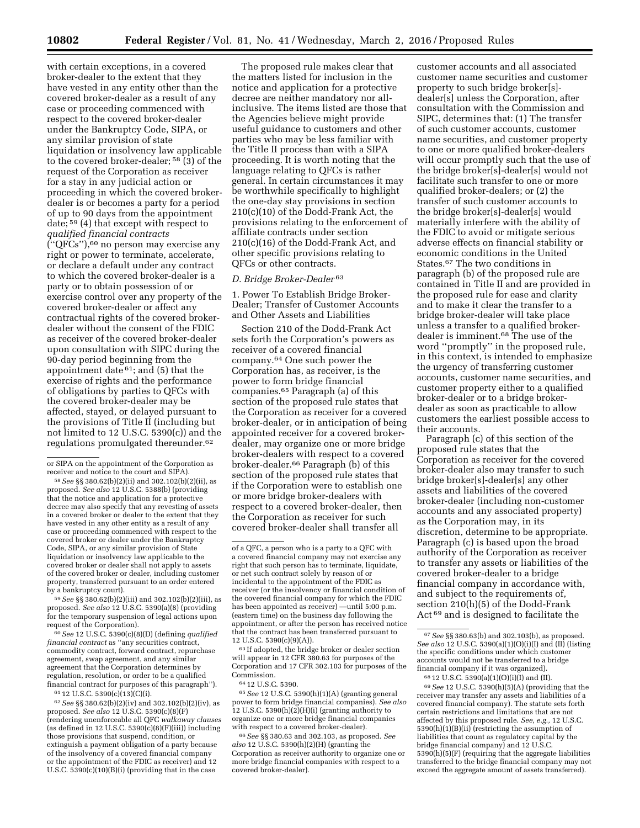with certain exceptions, in a covered broker-dealer to the extent that they have vested in any entity other than the covered broker-dealer as a result of any case or proceeding commenced with respect to the covered broker-dealer under the Bankruptcy Code, SIPA, or any similar provision of state liquidation or insolvency law applicable to the covered broker-dealer;  $58(3)$  of the request of the Corporation as receiver for a stay in any judicial action or proceeding in which the covered brokerdealer is or becomes a party for a period of up to 90 days from the appointment date; 59 (4) that except with respect to *qualified financial contracts*  (''QFCs''),60 no person may exercise any right or power to terminate, accelerate, or declare a default under any contract to which the covered broker-dealer is a party or to obtain possession of or exercise control over any property of the covered broker-dealer or affect any contractual rights of the covered brokerdealer without the consent of the FDIC as receiver of the covered broker-dealer upon consultation with SIPC during the 90-day period beginning from the appointment date  $61$ ; and (5) that the exercise of rights and the performance of obligations by parties to QFCs with the covered broker-dealer may be affected, stayed, or delayed pursuant to the provisions of Title II (including but not limited to 12 U.S.C. 5390(c)) and the regulations promulgated thereunder.62

59*See* §§ 380.62(b)(2)(iii) and 302.102(b)(2)(iii), as proposed. *See also* 12 U.S.C. 5390(a)(8) (providing for the temporary suspension of legal actions upon request of the Corporation).

60*See* 12 U.S.C. 5390(c)(8)(D) (defining *qualified financial contract* as ''any securities contract, commodity contract, forward contract, repurchase agreement, swap agreement, and any similar agreement that the Corporation determines by regulation, resolution, or order to be a qualified financial contract for purposes of this paragraph'').

61 12 U.S.C. 5390(c)(13)(C)(i).

The proposed rule makes clear that the matters listed for inclusion in the notice and application for a protective decree are neither mandatory nor allinclusive. The items listed are those that the Agencies believe might provide useful guidance to customers and other parties who may be less familiar with the Title II process than with a SIPA proceeding. It is worth noting that the language relating to QFCs is rather general. In certain circumstances it may be worthwhile specifically to highlight the one-day stay provisions in section 210(c)(10) of the Dodd-Frank Act, the provisions relating to the enforcement of affiliate contracts under section 210(c)(16) of the Dodd-Frank Act, and other specific provisions relating to QFCs or other contracts.

## *D. Bridge Broker-Dealer* 63

1. Power To Establish Bridge Broker-Dealer; Transfer of Customer Accounts and Other Assets and Liabilities

Section 210 of the Dodd-Frank Act sets forth the Corporation's powers as receiver of a covered financial company.64 One such power the Corporation has, as receiver, is the power to form bridge financial companies.65 Paragraph (a) of this section of the proposed rule states that the Corporation as receiver for a covered broker-dealer, or in anticipation of being appointed receiver for a covered brokerdealer, may organize one or more bridge broker-dealers with respect to a covered broker-dealer.66 Paragraph (b) of this section of the proposed rule states that if the Corporation were to establish one or more bridge broker-dealers with respect to a covered broker-dealer, then the Corporation as receiver for such covered broker-dealer shall transfer all

 $\ensuremath{^{63}\text{H}}$  adopted, the bridge broker or dealer section will appear in 12 CFR 380.63 for purposes of the Corporation and 17 CFR 302.103 for purposes of the Commission.

65*See* 12 U.S.C. 5390(h)(1)(A) (granting general power to form bridge financial companies). *See also*  12 U.S.C. 5390(h)(2)(H)(i) (granting authority to organize one or more bridge financial companies with respect to a covered broker-dealer).

66*See* §§ 380.63 and 302.103, as proposed. *See also* 12 U.S.C. 5390(h)(2)(H) (granting the Corporation as receiver authority to organize one or more bridge financial companies with respect to a covered broker-dealer).

customer accounts and all associated customer name securities and customer property to such bridge broker[s] dealer[s] unless the Corporation, after consultation with the Commission and SIPC, determines that: (1) The transfer of such customer accounts, customer name securities, and customer property to one or more qualified broker-dealers will occur promptly such that the use of the bridge broker[s]-dealer[s] would not facilitate such transfer to one or more qualified broker-dealers; or (2) the transfer of such customer accounts to the bridge broker[s]-dealer[s] would materially interfere with the ability of the FDIC to avoid or mitigate serious adverse effects on financial stability or economic conditions in the United States.67 The two conditions in paragraph (b) of the proposed rule are contained in Title II and are provided in the proposed rule for ease and clarity and to make it clear the transfer to a bridge broker-dealer will take place unless a transfer to a qualified brokerdealer is imminent.68 The use of the word ''promptly'' in the proposed rule, in this context, is intended to emphasize the urgency of transferring customer accounts, customer name securities, and customer property either to a qualified broker-dealer or to a bridge brokerdealer as soon as practicable to allow customers the earliest possible access to their accounts.

Paragraph (c) of this section of the proposed rule states that the Corporation as receiver for the covered broker-dealer also may transfer to such bridge broker[s]-dealer[s] any other assets and liabilities of the covered broker-dealer (including non-customer accounts and any associated property) as the Corporation may, in its discretion, determine to be appropriate. Paragraph (c) is based upon the broad authority of the Corporation as receiver to transfer any assets or liabilities of the covered broker-dealer to a bridge financial company in accordance with, and subject to the requirements of, section 210(h)(5) of the Dodd-Frank Act 69 and is designed to facilitate the

68 12 U.S.C. 5390(a)(1)(O)(i)(I) and (II). 69*See* 12 U.S.C. 5390(h)(5)(A) (providing that the receiver may transfer any assets and liabilities of a covered financial company). The statute sets forth certain restrictions and limitations that are not affected by this proposed rule. *See, e.g.,* 12 U.S.C.  $5390(h)(1)(B)(ii)$  (restricting the assumption of liabilities that count as regulatory capital by the bridge financial company) and 12 U.S.C. 5390(h)(5)(F) (requiring that the aggregate liabilities transferred to the bridge financial company may not exceed the aggregate amount of assets transferred).

or SIPA on the appointment of the Corporation as receiver and notice to the court and SIPA).

<sup>58</sup>*See* §§ 380.62(b)(2)(ii) and 302.102(b)(2)(ii), as proposed. *See also* 12 U.S.C. 5388(b) (providing that the notice and application for a protective decree may also specify that any revesting of assets in a covered broker or dealer to the extent that they have vested in any other entity as a result of any case or proceeding commenced with respect to the covered broker or dealer under the Bankruptcy Code, SIPA, or any similar provision of State liquidation or insolvency law applicable to the covered broker or dealer shall not apply to assets of the covered broker or dealer, including customer property, transferred pursuant to an order entered by a bankruptcy court).

<sup>62</sup>*See* §§ 380.62(b)(2)(iv) and 302.102(b)(2)(iv), as proposed. *See also* 12 U.S.C. 5390(c)(8)(F) (rendering unenforceable all QFC *walkaway clauses*  (as defined in 12 U.S.C. 5390(c)(8)(F)(iii)) including those provisions that suspend, condition, or extinguish a payment obligation of a party because of the insolvency of a covered financial company or the appointment of the FDIC as receiver) and 12 U.S.C. 5390(c)(10)(B)(i) (providing that in the case

of a QFC, a person who is a party to a QFC with a covered financial company may not exercise any right that such person has to terminate, liquidate, or net such contract solely by reason of or incidental to the appointment of the FDIC as receiver (or the insolvency or financial condition of the covered financial company for which the FDIC has been appointed as receiver) —until 5:00 p.m. (eastern time) on the business day following the appointment, or after the person has received notice that the contract has been transferred pursuant to 12 U.S.C. 5390(c)(9)(A)).

<sup>64</sup> 12 U.S.C. 5390.

<sup>67</sup>*See* §§ 380.63(b) and 302.103(b), as proposed. *See also* 12 U.S.C. 5390(a)(1)(O)(i)(I) and (II) (listing the specific conditions under which customer accounts would not be transferred to a bridge financial company if it was organized).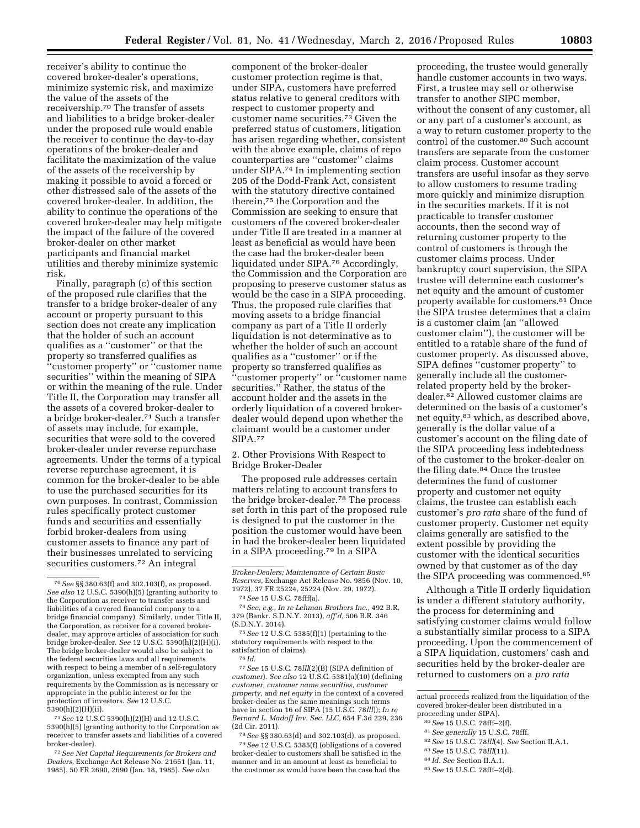receiver's ability to continue the covered broker-dealer's operations, minimize systemic risk, and maximize the value of the assets of the receivership.70 The transfer of assets and liabilities to a bridge broker-dealer under the proposed rule would enable the receiver to continue the day-to-day operations of the broker-dealer and facilitate the maximization of the value of the assets of the receivership by making it possible to avoid a forced or other distressed sale of the assets of the covered broker-dealer. In addition, the ability to continue the operations of the covered broker-dealer may help mitigate the impact of the failure of the covered

broker-dealer on other market participants and financial market utilities and thereby minimize systemic risk.

Finally, paragraph (c) of this section of the proposed rule clarifies that the transfer to a bridge broker-dealer of any account or property pursuant to this section does not create any implication that the holder of such an account qualifies as a ''customer'' or that the property so transferred qualifies as ''customer property'' or ''customer name securities'' within the meaning of SIPA or within the meaning of the rule. Under Title II, the Corporation may transfer all the assets of a covered broker-dealer to a bridge broker-dealer.71 Such a transfer of assets may include, for example, securities that were sold to the covered broker-dealer under reverse repurchase agreements. Under the terms of a typical reverse repurchase agreement, it is common for the broker-dealer to be able to use the purchased securities for its own purposes. In contrast, Commission rules specifically protect customer funds and securities and essentially forbid broker-dealers from using customer assets to finance any part of their businesses unrelated to servicing securities customers.72 An integral

71*See* 12 U.S.C 5390(h)(2)(H) and 12 U.S.C. 5390(h)(5) (granting authority to the Corporation as receiver to transfer assets and liabilities of a covered broker-dealer).

72*See Net Capital Requirements for Brokers and Dealers,* Exchange Act Release No. 21651 (Jan. 11, 1985), 50 FR 2690, 2690 (Jan. 18, 1985). *See also* 

component of the broker-dealer customer protection regime is that, under SIPA, customers have preferred status relative to general creditors with respect to customer property and customer name securities.73 Given the preferred status of customers, litigation has arisen regarding whether, consistent with the above example, claims of repo counterparties are ''customer'' claims under SIPA.74 In implementing section 205 of the Dodd-Frank Act, consistent with the statutory directive contained therein,75 the Corporation and the Commission are seeking to ensure that customers of the covered broker-dealer under Title II are treated in a manner at least as beneficial as would have been the case had the broker-dealer been liquidated under SIPA.76 Accordingly, the Commission and the Corporation are proposing to preserve customer status as would be the case in a SIPA proceeding. Thus, the proposed rule clarifies that moving assets to a bridge financial company as part of a Title II orderly liquidation is not determinative as to whether the holder of such an account qualifies as a ''customer'' or if the property so transferred qualifies as 'customer property" or "customer name securities.'' Rather, the status of the account holder and the assets in the orderly liquidation of a covered brokerdealer would depend upon whether the claimant would be a customer under SIPA.77

2. Other Provisions With Respect to Bridge Broker-Dealer

The proposed rule addresses certain matters relating to account transfers to the bridge broker-dealer.78 The process set forth in this part of the proposed rule is designed to put the customer in the position the customer would have been in had the broker-dealer been liquidated in a SIPA proceeding.79 In a SIPA

75*See* 12 U.S.C. 5385(f)(1) (pertaining to the statutory requirements with respect to the satisfaction of claims).

76 *Id.* 

77*See* 15 U.S.C. 78*lll*(2)(B) (SIPA definition of *customer*). *See also* 12 U.S.C. 5381(a)(10) (defining *customer, customer name securities, customer property,* and *net equity* in the context of a covered broker-dealer as the same meanings such terms have in section 16 of SIPA (15 U.S.C. 78*lll*)); *In re Bernard L. Madoff Inv. Sec. LLC,* 654 F.3d 229, 236 (2d Cir. 2011).

78*See* §§ 380.63(d) and 302.103(d), as proposed. 79*See* 12 U.S.C. 5385(f) (obligations of a covered broker-dealer to customers shall be satisfied in the manner and in an amount at least as beneficial to the customer as would have been the case had the

proceeding, the trustee would generally handle customer accounts in two ways. First, a trustee may sell or otherwise transfer to another SIPC member, without the consent of any customer, all or any part of a customer's account, as a way to return customer property to the control of the customer.<sup>80</sup> Such account transfers are separate from the customer claim process. Customer account transfers are useful insofar as they serve to allow customers to resume trading more quickly and minimize disruption in the securities markets. If it is not practicable to transfer customer accounts, then the second way of returning customer property to the control of customers is through the customer claims process. Under bankruptcy court supervision, the SIPA trustee will determine each customer's net equity and the amount of customer property available for customers.81 Once the SIPA trustee determines that a claim is a customer claim (an ''allowed customer claim''), the customer will be entitled to a ratable share of the fund of customer property. As discussed above, SIPA defines ''customer property'' to generally include all the customerrelated property held by the brokerdealer.82 Allowed customer claims are determined on the basis of a customer's net equity,83 which, as described above, generally is the dollar value of a customer's account on the filing date of the SIPA proceeding less indebtedness of the customer to the broker-dealer on the filing date.84 Once the trustee determines the fund of customer property and customer net equity claims, the trustee can establish each customer's *pro rata* share of the fund of customer property. Customer net equity claims generally are satisfied to the extent possible by providing the customer with the identical securities owned by that customer as of the day the SIPA proceeding was commenced.85

Although a Title II orderly liquidation is under a different statutory authority, the process for determining and satisfying customer claims would follow a substantially similar process to a SIPA proceeding. Upon the commencement of a SIPA liquidation, customers' cash and securities held by the broker-dealer are returned to customers on a *pro rata* 

actual proceeds realized from the liquidation of the covered broker-dealer been distributed in a proceeding under SIPA).

- 81*See generally* 15 U.S.C. 78fff.
- 82*See* 15 U.S.C. 78*lll*(4). *See* Section II.A.1.
- 
- 83*See* 15 U.S.C. 78*lll*(11).
- 84 *Id. See* Section II.A.1.
- 85*See* 15 U.S.C. 78fff–2(d).

<sup>70</sup>*See* §§ 380.63(f) and 302.103(f), as proposed. *See also* 12 U.S.C. 5390(h)(5) (granting authority to the Corporation as receiver to transfer assets and liabilities of a covered financial company to a bridge financial company). Similarly, under Title II, the Corporation, as receiver for a covered brokerdealer, may approve articles of association for such bridge broker-dealer. *See* 12 U.S.C. 5390(h)(2)(H)(i). The bridge broker-dealer would also be subject to the federal securities laws and all requirements with respect to being a member of a self-regulatory organization, unless exempted from any such requirements by the Commission as is necessary or appropriate in the public interest or for the protection of investors. *See* 12 U.S.C. 5390(h)(2)(H)(ii).

*Broker-Dealers; Maintenance of Certain Basic Reserves,* Exchange Act Release No. 9856 (Nov. 10, 1972), 37 FR 25224, 25224 (Nov. 29, 1972).

<sup>73</sup>*See* 15 U.S.C. 78fff(a).

<sup>74</sup>*See, e.g., In re Lehman Brothers Inc.,* 492 B.R. 379 (Bankr. S.D.N.Y. 2013), *aff'd,* 506 B.R. 346 (S.D.N.Y. 2014).

<sup>80</sup>*See* 15 U.S.C. 78fff–2(f).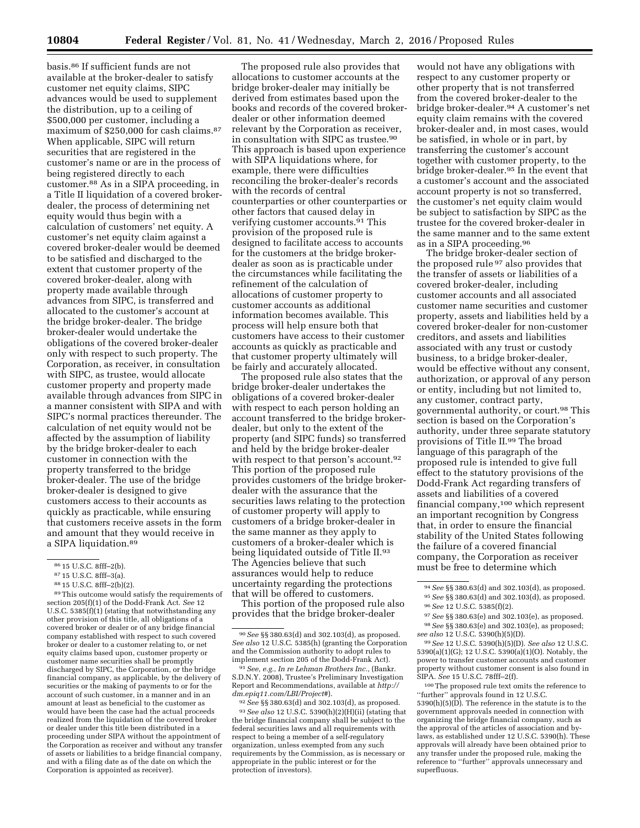basis.86 If sufficient funds are not available at the broker-dealer to satisfy customer net equity claims, SIPC advances would be used to supplement the distribution, up to a ceiling of \$500,000 per customer, including a maximum of \$250,000 for cash claims.87 When applicable, SIPC will return securities that are registered in the customer's name or are in the process of being registered directly to each customer.88 As in a SIPA proceeding, in a Title II liquidation of a covered brokerdealer, the process of determining net equity would thus begin with a calculation of customers' net equity. A customer's net equity claim against a covered broker-dealer would be deemed to be satisfied and discharged to the extent that customer property of the covered broker-dealer, along with property made available through advances from SIPC, is transferred and allocated to the customer's account at the bridge broker-dealer. The bridge broker-dealer would undertake the obligations of the covered broker-dealer only with respect to such property. The Corporation, as receiver, in consultation with SIPC, as trustee, would allocate customer property and property made available through advances from SIPC in a manner consistent with SIPA and with SIPC's normal practices thereunder. The calculation of net equity would not be affected by the assumption of liability by the bridge broker-dealer to each customer in connection with the property transferred to the bridge broker-dealer. The use of the bridge broker-dealer is designed to give customers access to their accounts as quickly as practicable, while ensuring that customers receive assets in the form and amount that they would receive in a SIPA liquidation.89

The proposed rule also provides that allocations to customer accounts at the bridge broker-dealer may initially be derived from estimates based upon the books and records of the covered brokerdealer or other information deemed relevant by the Corporation as receiver, in consultation with SIPC as trustee.<sup>90</sup> This approach is based upon experience with SIPA liquidations where, for example, there were difficulties reconciling the broker-dealer's records with the records of central counterparties or other counterparties or other factors that caused delay in verifying customer accounts.91 This provision of the proposed rule is designed to facilitate access to accounts for the customers at the bridge brokerdealer as soon as is practicable under the circumstances while facilitating the refinement of the calculation of allocations of customer property to customer accounts as additional information becomes available. This process will help ensure both that customers have access to their customer accounts as quickly as practicable and that customer property ultimately will be fairly and accurately allocated.

The proposed rule also states that the bridge broker-dealer undertakes the obligations of a covered broker-dealer with respect to each person holding an account transferred to the bridge brokerdealer, but only to the extent of the property (and SIPC funds) so transferred and held by the bridge broker-dealer with respect to that person's account.92 This portion of the proposed rule provides customers of the bridge brokerdealer with the assurance that the securities laws relating to the protection of customer property will apply to customers of a bridge broker-dealer in the same manner as they apply to customers of a broker-dealer which is being liquidated outside of Title II.<sup>93</sup> The Agencies believe that such assurances would help to reduce uncertainty regarding the protections that will be offered to customers.

This portion of the proposed rule also provides that the bridge broker-dealer

91*See, e.g., In re Lehman Brothers Inc.,* (Bankr. S.D.N.Y. 2008), Trustee's Preliminary Investigation Report and Recommendations, available at *[http://](http://dm.epiq11.com/LBI/Project#) [dm.epiq11.com/LBI/Project#](http://dm.epiq11.com/LBI/Project#)*).

92*See* §§ 380.63(d) and 302.103(d), as proposed. 93*See also* 12 U.S.C. 5390(h)(2)(H)(ii) (stating that the bridge financial company shall be subject to the federal securities laws and all requirements with respect to being a member of a self-regulatory organization, unless exempted from any such requirements by the Commission, as is necessary or appropriate in the public interest or for the protection of investors).

would not have any obligations with respect to any customer property or other property that is not transferred from the covered broker-dealer to the bridge broker-dealer.94 A customer's net equity claim remains with the covered broker-dealer and, in most cases, would be satisfied, in whole or in part, by transferring the customer's account together with customer property, to the bridge broker-dealer.95 In the event that a customer's account and the associated account property is not so transferred, the customer's net equity claim would be subject to satisfaction by SIPC as the trustee for the covered broker-dealer in the same manner and to the same extent as in a SIPA proceeding.96

The bridge broker-dealer section of the proposed rule 97 also provides that the transfer of assets or liabilities of a covered broker-dealer, including customer accounts and all associated customer name securities and customer property, assets and liabilities held by a covered broker-dealer for non-customer creditors, and assets and liabilities associated with any trust or custody business, to a bridge broker-dealer, would be effective without any consent, authorization, or approval of any person or entity, including but not limited to, any customer, contract party, governmental authority, or court.98 This section is based on the Corporation's authority, under three separate statutory provisions of Title II.99 The broad language of this paragraph of the proposed rule is intended to give full effect to the statutory provisions of the Dodd-Frank Act regarding transfers of assets and liabilities of a covered financial company,100 which represent an important recognition by Congress that, in order to ensure the financial stability of the United States following the failure of a covered financial company, the Corporation as receiver must be free to determine which

99*See* 12 U.S.C. 5390(h)(5)(D). *See also* 12 U.S.C. 5390(a)(1)(G); 12 U.S.C. 5390(a)(1)(O). Notably, the power to transfer customer accounts and customer property without customer consent is also found in SIPA. *See* 15 U.S.C. 78fff–2(f).

100The proposed rule text omits the reference to ''further'' approvals found in 12 U.S.C. 5390(h)(5)(D). The reference in the statute is to the government approvals needed in connection with organizing the bridge financial company, such as the approval of the articles of association and bylaws, as established under 12 U.S.C. 5390(h). These approvals will already have been obtained prior to any transfer under the proposed rule, making the reference to ''further'' approvals unnecessary and superfluous.

<sup>86</sup> 15 U.S.C. 8fff–2(b).

<sup>87</sup> 15 U.S.C. 8fff–3(a).

<sup>88</sup> 15 U.S.C. 8fff–2(b)(2).

<sup>89</sup>This outcome would satisfy the requirements of section 205(f)(1) of the Dodd-Frank Act. *See* 12 U.S.C. 5385(f)(1) (stating that notwithstanding any other provision of this title, all obligations of a covered broker or dealer or of any bridge financial company established with respect to such covered broker or dealer to a customer relating to, or net equity claims based upon, customer property or customer name securities shall be promptly discharged by SIPC, the Corporation, or the bridge financial company, as applicable, by the delivery of securities or the making of payments to or for the account of such customer, in a manner and in an amount at least as beneficial to the customer as would have been the case had the actual proceeds realized from the liquidation of the covered broker or dealer under this title been distributed in a proceeding under SIPA without the appointment of the Corporation as receiver and without any transfer of assets or liabilities to a bridge financial company, and with a filing date as of the date on which the Corporation is appointed as receiver).

<sup>90</sup>*See* §§ 380.63(d) and 302.103(d), as proposed. *See also* 12 U.S.C. 5385(h) (granting the Corporation and the Commission authority to adopt rules to implement section 205 of the Dodd-Frank Act).

<sup>94</sup>*See* §§ 380.63(d) and 302.103(d), as proposed. 95*See* §§ 380.63(d) and 302.103(d), as proposed. 96*See* 12 U.S.C. 5385(f)(2).

<sup>97</sup>*See* §§ 380.63(e) and 302.103(e), as proposed.

<sup>98</sup>*See* §§ 380.63(e) and 302.103(e), as proposed; *see also* 12 U.S.C. 5390(h)(5)(D).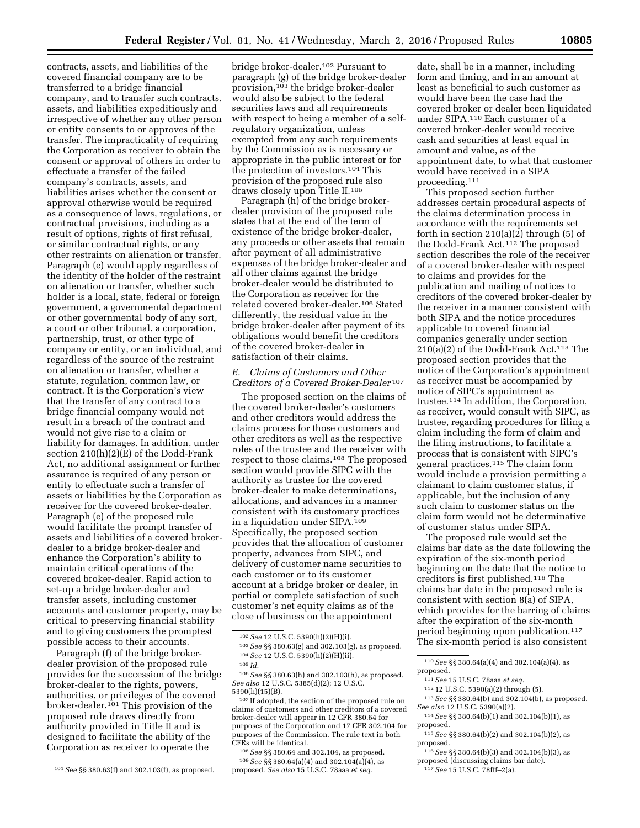contracts, assets, and liabilities of the covered financial company are to be transferred to a bridge financial company, and to transfer such contracts, assets, and liabilities expeditiously and irrespective of whether any other person or entity consents to or approves of the transfer. The impracticality of requiring the Corporation as receiver to obtain the consent or approval of others in order to effectuate a transfer of the failed company's contracts, assets, and liabilities arises whether the consent or approval otherwise would be required as a consequence of laws, regulations, or contractual provisions, including as a result of options, rights of first refusal, or similar contractual rights, or any other restraints on alienation or transfer. Paragraph (e) would apply regardless of the identity of the holder of the restraint on alienation or transfer, whether such holder is a local, state, federal or foreign government, a governmental department or other governmental body of any sort, a court or other tribunal, a corporation, partnership, trust, or other type of company or entity, or an individual, and regardless of the source of the restraint on alienation or transfer, whether a statute, regulation, common law, or contract. It is the Corporation's view that the transfer of any contract to a bridge financial company would not result in a breach of the contract and would not give rise to a claim or liability for damages. In addition, under section 210(h)(2)(E) of the Dodd-Frank Act, no additional assignment or further assurance is required of any person or entity to effectuate such a transfer of assets or liabilities by the Corporation as receiver for the covered broker-dealer. Paragraph (e) of the proposed rule would facilitate the prompt transfer of assets and liabilities of a covered brokerdealer to a bridge broker-dealer and enhance the Corporation's ability to maintain critical operations of the covered broker-dealer. Rapid action to set-up a bridge broker-dealer and transfer assets, including customer accounts and customer property, may be critical to preserving financial stability and to giving customers the promptest possible access to their accounts.

Paragraph (f) of the bridge brokerdealer provision of the proposed rule provides for the succession of the bridge broker-dealer to the rights, powers, authorities, or privileges of the covered broker-dealer.101 This provision of the proposed rule draws directly from authority provided in Title II and is designed to facilitate the ability of the Corporation as receiver to operate the

bridge broker-dealer.102 Pursuant to paragraph (g) of the bridge broker-dealer provision,103 the bridge broker-dealer would also be subject to the federal securities laws and all requirements with respect to being a member of a selfregulatory organization, unless exempted from any such requirements by the Commission as is necessary or appropriate in the public interest or for the protection of investors.104 This provision of the proposed rule also draws closely upon Title II.105

Paragraph (h) of the bridge brokerdealer provision of the proposed rule states that at the end of the term of existence of the bridge broker-dealer, any proceeds or other assets that remain after payment of all administrative expenses of the bridge broker-dealer and all other claims against the bridge broker-dealer would be distributed to the Corporation as receiver for the related covered broker-dealer.106 Stated differently, the residual value in the bridge broker-dealer after payment of its obligations would benefit the creditors of the covered broker-dealer in satisfaction of their claims.

## *E. Claims of Customers and Other Creditors of a Covered Broker-Dealer* 107

The proposed section on the claims of the covered broker-dealer's customers and other creditors would address the claims process for those customers and other creditors as well as the respective roles of the trustee and the receiver with respect to those claims.108 The proposed section would provide SIPC with the authority as trustee for the covered broker-dealer to make determinations, allocations, and advances in a manner consistent with its customary practices in a liquidation under SIPA.109 Specifically, the proposed section provides that the allocation of customer property, advances from SIPC, and delivery of customer name securities to each customer or to its customer account at a bridge broker or dealer, in partial or complete satisfaction of such customer's net equity claims as of the close of business on the appointment

106*See* §§ 380.63(h) and 302.103(h), as proposed. *See also* 12 U.S.C. 5385(d)(2); 12 U.S.C. 5390(h)(15)(B).

107 If adopted, the section of the proposed rule on claims of customers and other creditors of a covered broker-dealer will appear in 12 CFR 380.64 for purposes of the Corporation and 17 CFR 302.104 for purposes of the Commission. The rule text in both CFRs will be identical.

108*See* §§ 380.64 and 302.104, as proposed. 109*See* §§ 380.64(a)(4) and 302.104(a)(4), as proposed. *See also* 15 U.S.C. 78aaa *et seq.* 

date, shall be in a manner, including form and timing, and in an amount at least as beneficial to such customer as would have been the case had the covered broker or dealer been liquidated under SIPA.110 Each customer of a covered broker-dealer would receive cash and securities at least equal in amount and value, as of the appointment date, to what that customer would have received in a SIPA proceeding.111

This proposed section further addresses certain procedural aspects of the claims determination process in accordance with the requirements set forth in section  $210(a)(2)$  through (5) of the Dodd-Frank Act.112 The proposed section describes the role of the receiver of a covered broker-dealer with respect to claims and provides for the publication and mailing of notices to creditors of the covered broker-dealer by the receiver in a manner consistent with both SIPA and the notice procedures applicable to covered financial companies generally under section  $210(a)(2)$  of the Dodd-Frank Act.<sup>113</sup> The proposed section provides that the notice of the Corporation's appointment as receiver must be accompanied by notice of SIPC's appointment as trustee.114 In addition, the Corporation, as receiver, would consult with SIPC, as trustee, regarding procedures for filing a claim including the form of claim and the filing instructions, to facilitate a process that is consistent with SIPC's general practices.115 The claim form would include a provision permitting a claimant to claim customer status, if applicable, but the inclusion of any such claim to customer status on the claim form would not be determinative of customer status under SIPA.

The proposed rule would set the claims bar date as the date following the expiration of the six-month period beginning on the date that the notice to creditors is first published.116 The claims bar date in the proposed rule is consistent with section 8(a) of SIPA, which provides for the barring of claims after the expiration of the six-month period beginning upon publication.117 The six-month period is also consistent

110*See* §§ 380.64(a)(4) and 302.104(a)(4), as proposed.

111*See* 15 U.S.C. 78aaa *et seq.* 

- 112 12 U.S.C. 5390(a)(2) through (5).
- 113*See* §§ 380.64(b) and 302.104(b), as proposed. *See also* 12 U.S.C. 5390(a)(2).
- 114*See* §§ 380.64(b)(1) and 302.104(b)(1), as proposed.
- 115*See* §§ 380.64(b)(2) and 302.104(b)(2), as proposed.
- 116*See* §§ 380.64(b)(3) and 302.104(b)(3), as proposed (discussing claims bar date).

<sup>101</sup>*See* §§ 380.63(f) and 302.103(f), as proposed.

<sup>102</sup>*See* 12 U.S.C. 5390(h)(2)(H)(i).

<sup>103</sup>*See* §§ 380.63(g) and 302.103(g), as proposed. 104*See* 12 U.S.C. 5390(h)(2)(H)(ii).

<sup>105</sup> *Id.* 

<sup>117</sup>*See* 15 U.S.C. 78fff–2(a).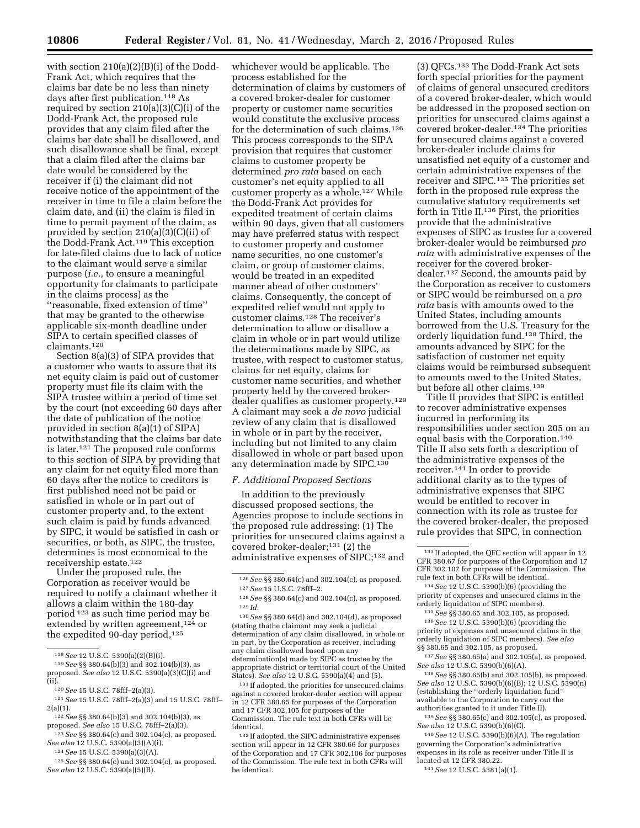with section 210(a)(2)(B)(i) of the Dodd-Frank Act, which requires that the claims bar date be no less than ninety days after first publication.118 As required by section 210(a)(3)(C)(i) of the Dodd-Frank Act, the proposed rule provides that any claim filed after the claims bar date shall be disallowed, and such disallowance shall be final, except that a claim filed after the claims bar date would be considered by the receiver if (i) the claimant did not receive notice of the appointment of the receiver in time to file a claim before the claim date, and (ii) the claim is filed in time to permit payment of the claim, as provided by section 210(a)(3)(C)(ii) of the Dodd-Frank Act.119 This exception for late-filed claims due to lack of notice to the claimant would serve a similar purpose (*i.e.,* to ensure a meaningful opportunity for claimants to participate in the claims process) as the ''reasonable, fixed extension of time'' that may be granted to the otherwise applicable six-month deadline under SIPA to certain specified classes of claimants.120

Section 8(a)(3) of SIPA provides that a customer who wants to assure that its net equity claim is paid out of customer property must file its claim with the SIPA trustee within a period of time set by the court (not exceeding 60 days after the date of publication of the notice provided in section 8(a)(1) of SIPA) notwithstanding that the claims bar date is later.121 The proposed rule conforms to this section of SIPA by providing that any claim for net equity filed more than 60 days after the notice to creditors is first published need not be paid or satisfied in whole or in part out of customer property and, to the extent such claim is paid by funds advanced by SIPC, it would be satisfied in cash or securities, or both, as SIPC, the trustee, determines is most economical to the receivership estate.122

Under the proposed rule, the Corporation as receiver would be required to notify a claimant whether it allows a claim within the 180-day period 123 as such time period may be extended by written agreement,<sup>124</sup> or the expedited 90-day period, $125$ 

whichever would be applicable. The process established for the determination of claims by customers of a covered broker-dealer for customer property or customer name securities would constitute the exclusive process for the determination of such claims.126 This process corresponds to the SIPA provision that requires that customer claims to customer property be determined *pro rata* based on each customer's net equity applied to all customer property as a whole.<sup>127</sup> While the Dodd-Frank Act provides for expedited treatment of certain claims within 90 days, given that all customers may have preferred status with respect to customer property and customer name securities, no one customer's claim, or group of customer claims, would be treated in an expedited manner ahead of other customers' claims. Consequently, the concept of expedited relief would not apply to customer claims.128 The receiver's determination to allow or disallow a claim in whole or in part would utilize the determinations made by SIPC, as trustee, with respect to customer status, claims for net equity, claims for customer name securities, and whether property held by the covered brokerdealer qualifies as customer property.129 A claimant may seek a *de novo* judicial review of any claim that is disallowed in whole or in part by the receiver, including but not limited to any claim disallowed in whole or part based upon any determination made by SIPC.130

#### *F. Additional Proposed Sections*

In addition to the previously discussed proposed sections, the Agencies propose to include sections in the proposed rule addressing: (1) The priorities for unsecured claims against a covered broker-dealer;131 (2) the administrative expenses of SIPC;132 and

130*See* §§ 380.64(d) and 302.104(d), as proposed (stating thathe claimant may seek a judicial determination of any claim disallowed, in whole or in part, by the Corporation as receiver, including any claim disallowed based upon any determination(s) made by SIPC as trustee by the appropriate district or territorial court of the United States). *See also* 12 U.S.C. 5390(a)(4) and (5).

131 If adopted, the priorities for unsecured claims against a covered broker-dealer section will appear in 12 CFR 380.65 for purposes of the Corporation and 17 CFR 302.105 for purposes of the Commission. The rule text in both CFRs will be identical.

132 If adopted, the SIPC administrative expenses section will appear in 12 CFR 380.66 for purposes of the Corporation and 17 CFR 302.106 for purposes of the Commission. The rule text in both CFRs will be identical.

(3) QFCs.133 The Dodd-Frank Act sets forth special priorities for the payment of claims of general unsecured creditors of a covered broker-dealer, which would be addressed in the proposed section on priorities for unsecured claims against a covered broker-dealer.134 The priorities for unsecured claims against a covered broker-dealer include claims for unsatisfied net equity of a customer and certain administrative expenses of the receiver and SIPC.135 The priorities set forth in the proposed rule express the cumulative statutory requirements set forth in Title II.136 First, the priorities provide that the administrative expenses of SIPC as trustee for a covered broker-dealer would be reimbursed *pro rata* with administrative expenses of the receiver for the covered brokerdealer.137 Second, the amounts paid by the Corporation as receiver to customers or SIPC would be reimbursed on a *pro rata* basis with amounts owed to the United States, including amounts borrowed from the U.S. Treasury for the orderly liquidation fund.138 Third, the amounts advanced by SIPC for the satisfaction of customer net equity claims would be reimbursed subsequent to amounts owed to the United States, but before all other claims.<sup>139</sup>

Title II provides that SIPC is entitled to recover administrative expenses incurred in performing its responsibilities under section 205 on an equal basis with the Corporation.140 Title II also sets forth a description of the administrative expenses of the receiver.141 In order to provide additional clarity as to the types of administrative expenses that SIPC would be entitled to recover in connection with its role as trustee for the covered broker-dealer, the proposed rule provides that SIPC, in connection

134*See* 12 U.S.C. 5390(b)(6) (providing the priority of expenses and unsecured claims in the orderly liquidation of SIPC members).

135*See* §§ 380.65 and 302.105, as proposed. 136*See* 12 U.S.C. 5390(b)(6) (providing the priority of expenses and unsecured claims in the orderly liquidation of SIPC members). *See also*  §§ 380.65 and 302.105, as proposed.

137*See* §§ 380.65(a) and 302.105(a), as proposed. *See also* 12 U.S.C. 5390(b)(6)(A).

138*See* §§ 380.65(b) and 302.105(b), as proposed. *See also* 12 U.S.C. 5390(b)(6)(B); 12 U.S.C. 5390(n) (establishing the ''orderly liquidation fund'' available to the Corporation to carry out the authorities granted to it under Title II).

139*See* §§ 380.65(c) and 302.105(c), as proposed. *See also* 12 U.S.C. 5390(b)(6)(C).

140*See* 12 U.S.C. 5390(b)(6)(A). The regulation governing the Corporation's administrative expenses in its role as receiver under Title II is located at 12 CFR 380.22.

141*See* 12 U.S.C. 5381(a)(1).

<sup>118</sup>*See* 12 U.S.C. 5390(a)(2)(B)(i). 119*See* §§ 380.64(b)(3) and 302.104(b)(3), as proposed. *See also* 12 U.S.C. 5390(a)(3)(C)(i) and (ii).

<sup>120</sup>*See* 15 U.S.C. 78fff–2(a)(3).

<sup>121</sup>*See* 15 U.S.C. 78fff–2(a)(3) and 15 U.S.C. 78fff–  $2(a)(1)$ .

<sup>122</sup>*See* §§ 380.64(b)(3) and 302.104(b)(3), as proposed. *See also* 15 U.S.C. 78fff–2(a)(3).

<sup>123</sup>*See* §§ 380.64(c) and 302.104(c), as proposed. *See also* 12 U.S.C. 5390(a)(3)(A)(i).

<sup>124</sup>*See* 15 U.S.C. 5390(a)(3)(A).

<sup>125</sup>*See* §§ 380.64(c) and 302.104(c), as proposed. *See also* 12 U.S.C. 5390(a)(5)(B).

<sup>126</sup>*See* §§ 380.64(c) and 302.104(c), as proposed. 127*See* 15 U.S.C. 78fff–2.

<sup>128</sup>*See* §§ 380.64(c) and 302.104(c), as proposed. 129 *Id.* 

<sup>133</sup> If adopted, the QFC section will appear in 12 CFR 380.67 for purposes of the Corporation and 17 CFR 302.107 for purposes of the Commission. The rule text in both CFRs will be identical.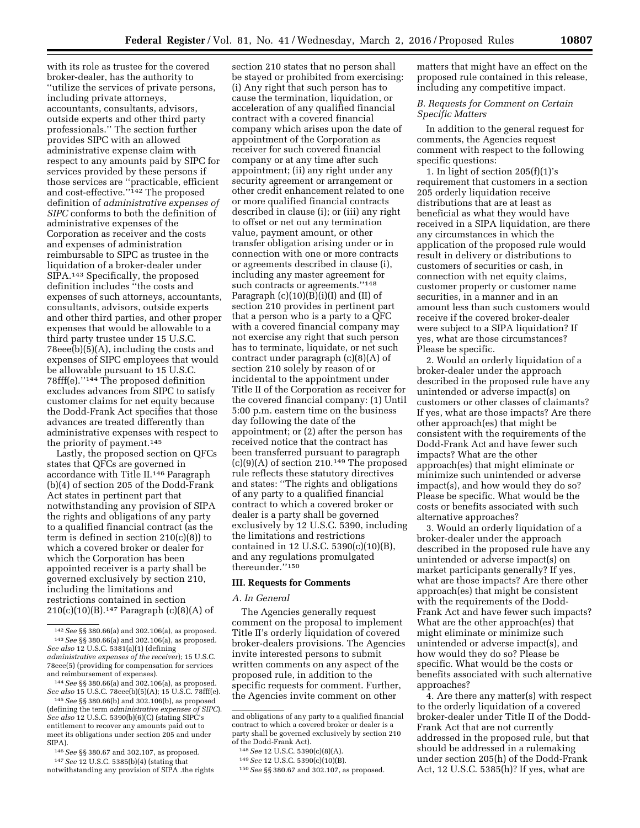with its role as trustee for the covered broker-dealer, has the authority to ''utilize the services of private persons, including private attorneys, accountants, consultants, advisors, outside experts and other third party professionals.'' The section further provides SIPC with an allowed administrative expense claim with respect to any amounts paid by SIPC for services provided by these persons if those services are ''practicable, efficient and cost-effective.''142 The proposed definition of *administrative expenses of SIPC* conforms to both the definition of administrative expenses of the Corporation as receiver and the costs and expenses of administration reimbursable to SIPC as trustee in the liquidation of a broker-dealer under SIPA.143 Specifically, the proposed definition includes ''the costs and expenses of such attorneys, accountants, consultants, advisors, outside experts and other third parties, and other proper expenses that would be allowable to a third party trustee under 15 U.S.C. 78eee(b)(5)(A), including the costs and expenses of SIPC employees that would be allowable pursuant to 15 U.S.C. 78fff(e).''144 The proposed definition excludes advances from SIPC to satisfy customer claims for net equity because the Dodd-Frank Act specifies that those advances are treated differently than administrative expenses with respect to the priority of payment.145

Lastly, the proposed section on QFCs states that QFCs are governed in accordance with Title II.146 Paragraph (b)(4) of section 205 of the Dodd-Frank Act states in pertinent part that notwithstanding any provision of SIPA the rights and obligations of any party to a qualified financial contract (as the term is defined in section 210(c)(8)) to which a covered broker or dealer for which the Corporation has been appointed receiver is a party shall be governed exclusively by section 210, including the limitations and restrictions contained in section 210(c)(10)(B).147 Paragraph (c)(8)(A) of

147*See* 12 U.S.C. 5385(b)(4) (stating that notwithstanding any provision of SIPA .the rights

section 210 states that no person shall be stayed or prohibited from exercising: (i) Any right that such person has to cause the termination, liquidation, or acceleration of any qualified financial contract with a covered financial company which arises upon the date of appointment of the Corporation as receiver for such covered financial company or at any time after such appointment; (ii) any right under any security agreement or arrangement or other credit enhancement related to one or more qualified financial contracts described in clause (i); or (iii) any right to offset or net out any termination value, payment amount, or other transfer obligation arising under or in connection with one or more contracts or agreements described in clause (i), including any master agreement for such contracts or agreements.''148 Paragraph  $(c)(10)(B)(i)(I)$  and  $(II)$  of section 210 provides in pertinent part that a person who is a party to a QFC with a covered financial company may not exercise any right that such person has to terminate, liquidate, or net such contract under paragraph (c)(8)(A) of section 210 solely by reason of or incidental to the appointment under Title II of the Corporation as receiver for the covered financial company: (1) Until 5:00 p.m. eastern time on the business day following the date of the appointment; or (2) after the person has received notice that the contract has been transferred pursuant to paragraph  $(c)(9)(A)$  of section 210.<sup>149</sup> The proposed rule reflects these statutory directives and states: ''The rights and obligations of any party to a qualified financial contract to which a covered broker or dealer is a party shall be governed exclusively by 12 U.S.C. 5390, including the limitations and restrictions contained in 12 U.S.C. 5390(c)(10)(B), and any regulations promulgated thereunder.''150

## **III. Requests for Comments**

## *A. In General*

The Agencies generally request comment on the proposal to implement Title II's orderly liquidation of covered broker-dealers provisions. The Agencies invite interested persons to submit written comments on any aspect of the proposed rule, in addition to the specific requests for comment. Further, the Agencies invite comment on other

matters that might have an effect on the proposed rule contained in this release, including any competitive impact.

# *B. Requests for Comment on Certain Specific Matters*

In addition to the general request for comments, the Agencies request comment with respect to the following specific questions:

1. In light of section  $205(f)(1)'s$ requirement that customers in a section 205 orderly liquidation receive distributions that are at least as beneficial as what they would have received in a SIPA liquidation, are there any circumstances in which the application of the proposed rule would result in delivery or distributions to customers of securities or cash, in connection with net equity claims, customer property or customer name securities, in a manner and in an amount less than such customers would receive if the covered broker-dealer were subject to a SIPA liquidation? If yes, what are those circumstances? Please be specific.

2. Would an orderly liquidation of a broker-dealer under the approach described in the proposed rule have any unintended or adverse impact(s) on customers or other classes of claimants? If yes, what are those impacts? Are there other approach(es) that might be consistent with the requirements of the Dodd-Frank Act and have fewer such impacts? What are the other approach(es) that might eliminate or minimize such unintended or adverse impact(s), and how would they do so? Please be specific. What would be the costs or benefits associated with such alternative approaches?

3. Would an orderly liquidation of a broker-dealer under the approach described in the proposed rule have any unintended or adverse impact(s) on market participants generally? If yes, what are those impacts? Are there other approach(es) that might be consistent with the requirements of the Dodd-Frank Act and have fewer such impacts? What are the other approach(es) that might eliminate or minimize such unintended or adverse impact(s), and how would they do so? Please be specific. What would be the costs or benefits associated with such alternative approaches?

4. Are there any matter(s) with respect to the orderly liquidation of a covered broker-dealer under Title II of the Dodd-Frank Act that are not currently addressed in the proposed rule, but that should be addressed in a rulemaking under section 205(h) of the Dodd-Frank Act, 12 U.S.C. 5385(h)? If yes, what are

<sup>142</sup>*See* §§ 380.66(a) and 302.106(a), as proposed. 143*See* §§ 380.66(a) and 302.106(a), as proposed. *See also* 12 U.S.C. 5381(a)(1) (defining *administrative expenses of the receiver*); 15 U.S.C. 78eee(5) (providing for compensation for services and reimbursement of expenses).

<sup>144</sup>*See* §§ 380.66(a) and 302.106(a), as proposed. *See also* 15 U.S.C. 78eee(b)(5)(A); 15 U.S.C. 78fff(e). 145*See* §§ 380.66(b) and 302.106(b), as proposed

<sup>(</sup>defining the term *administrative expenses of SIPC*). *See also* 12 U.S.C. 5390(b)(6)(C) (stating SIPC's entitlement to recover any amounts paid out to meet its obligations under section 205 and under SIPA).

<sup>146</sup>*See* §§ 380.67 and 302.107, as proposed.

and obligations of any party to a qualified financial contract to which a covered broker or dealer is a party shall be governed exclusively by section 210 of the Dodd-Frank Act).

<sup>148</sup>*See* 12 U.S.C. 5390(c)(8)(A).

<sup>149</sup>*See* 12 U.S.C. 5390(c)(10)(B).

<sup>150</sup>*See* §§ 380.67 and 302.107, as proposed.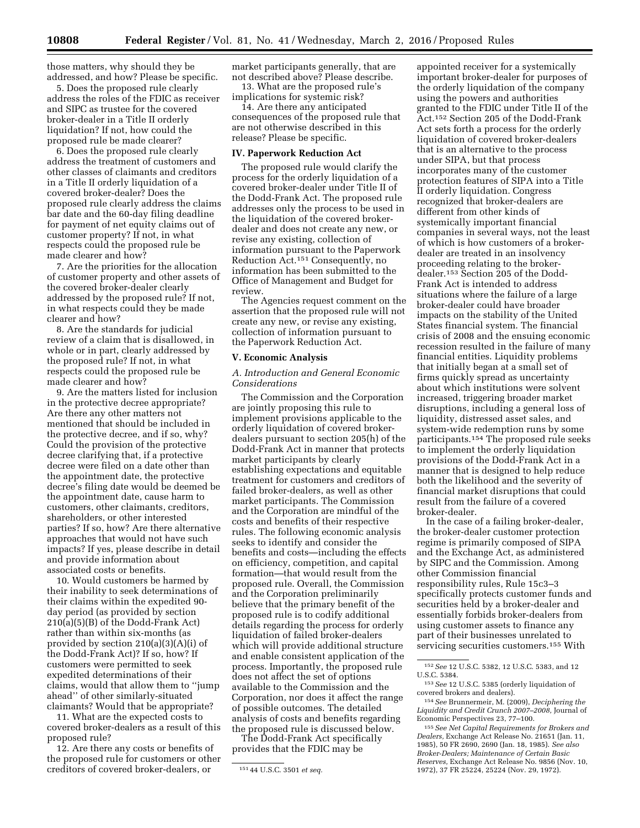those matters, why should they be addressed, and how? Please be specific.

5. Does the proposed rule clearly address the roles of the FDIC as receiver and SIPC as trustee for the covered broker-dealer in a Title II orderly liquidation? If not, how could the proposed rule be made clearer?

6. Does the proposed rule clearly address the treatment of customers and other classes of claimants and creditors in a Title II orderly liquidation of a covered broker-dealer? Does the proposed rule clearly address the claims bar date and the 60-day filing deadline for payment of net equity claims out of customer property? If not, in what respects could the proposed rule be made clearer and how?

7. Are the priorities for the allocation of customer property and other assets of the covered broker-dealer clearly addressed by the proposed rule? If not, in what respects could they be made clearer and how?

8. Are the standards for judicial review of a claim that is disallowed, in whole or in part, clearly addressed by the proposed rule? If not, in what respects could the proposed rule be made clearer and how?

9. Are the matters listed for inclusion in the protective decree appropriate? Are there any other matters not mentioned that should be included in the protective decree, and if so, why? Could the provision of the protective decree clarifying that, if a protective decree were filed on a date other than the appointment date, the protective decree's filing date would be deemed be the appointment date, cause harm to customers, other claimants, creditors, shareholders, or other interested parties? If so, how? Are there alternative approaches that would not have such impacts? If yes, please describe in detail and provide information about associated costs or benefits.

10. Would customers be harmed by their inability to seek determinations of their claims within the expedited 90 day period (as provided by section 210(a)(5)(B) of the Dodd-Frank Act) rather than within six-months (as provided by section 210(a)(3)(A)(i) of the Dodd-Frank Act)? If so, how? If customers were permitted to seek expedited determinations of their claims, would that allow them to ''jump ahead'' of other similarly-situated claimants? Would that be appropriate?

11. What are the expected costs to covered broker-dealers as a result of this proposed rule?

12. Are there any costs or benefits of the proposed rule for customers or other creditors of covered broker-dealers, or

market participants generally, that are not described above? Please describe. 13. What are the proposed rule's

implications for systemic risk?

14. Are there any anticipated consequences of the proposed rule that are not otherwise described in this release? Please be specific.

#### **IV. Paperwork Reduction Act**

The proposed rule would clarify the process for the orderly liquidation of a covered broker-dealer under Title II of the Dodd-Frank Act. The proposed rule addresses only the process to be used in the liquidation of the covered brokerdealer and does not create any new, or revise any existing, collection of information pursuant to the Paperwork Reduction Act.151 Consequently, no information has been submitted to the Office of Management and Budget for review.

The Agencies request comment on the assertion that the proposed rule will not create any new, or revise any existing, collection of information pursuant to the Paperwork Reduction Act.

#### **V. Economic Analysis**

## *A. Introduction and General Economic Considerations*

The Commission and the Corporation are jointly proposing this rule to implement provisions applicable to the orderly liquidation of covered brokerdealers pursuant to section 205(h) of the Dodd-Frank Act in manner that protects market participants by clearly establishing expectations and equitable treatment for customers and creditors of failed broker-dealers, as well as other market participants. The Commission and the Corporation are mindful of the costs and benefits of their respective rules. The following economic analysis seeks to identify and consider the benefits and costs—including the effects on efficiency, competition, and capital formation—that would result from the proposed rule. Overall, the Commission and the Corporation preliminarily believe that the primary benefit of the proposed rule is to codify additional details regarding the process for orderly liquidation of failed broker-dealers which will provide additional structure and enable consistent application of the process. Importantly, the proposed rule does not affect the set of options available to the Commission and the Corporation, nor does it affect the range of possible outcomes. The detailed analysis of costs and benefits regarding the proposed rule is discussed below.

The Dodd-Frank Act specifically provides that the FDIC may be

appointed receiver for a systemically important broker-dealer for purposes of the orderly liquidation of the company using the powers and authorities granted to the FDIC under Title II of the Act.152 Section 205 of the Dodd-Frank Act sets forth a process for the orderly liquidation of covered broker-dealers that is an alternative to the process under SIPA, but that process incorporates many of the customer protection features of SIPA into a Title II orderly liquidation. Congress recognized that broker-dealers are different from other kinds of systemically important financial companies in several ways, not the least of which is how customers of a brokerdealer are treated in an insolvency proceeding relating to the brokerdealer.153 Section 205 of the Dodd-Frank Act is intended to address situations where the failure of a large broker-dealer could have broader impacts on the stability of the United States financial system. The financial crisis of 2008 and the ensuing economic recession resulted in the failure of many financial entities. Liquidity problems that initially began at a small set of firms quickly spread as uncertainty about which institutions were solvent increased, triggering broader market disruptions, including a general loss of liquidity, distressed asset sales, and system-wide redemption runs by some participants.154 The proposed rule seeks to implement the orderly liquidation provisions of the Dodd-Frank Act in a manner that is designed to help reduce both the likelihood and the severity of financial market disruptions that could result from the failure of a covered broker-dealer.

In the case of a failing broker-dealer, the broker-dealer customer protection regime is primarily composed of SIPA and the Exchange Act, as administered by SIPC and the Commission. Among other Commission financial responsibility rules, Rule 15c3–3 specifically protects customer funds and securities held by a broker-dealer and essentially forbids broker-dealers from using customer assets to finance any part of their businesses unrelated to servicing securities customers.155 With

<sup>151</sup> 44 U.S.C. 3501 *et seq.* 

<sup>152</sup>*See* 12 U.S.C. 5382, 12 U.S.C. 5383, and 12 U.S.C. 5384.

<sup>153</sup>*See* 12 U.S.C. 5385 (orderly liquidation of covered brokers and dealers).

<sup>154</sup>*See* Brunnermeir, M. (2009), *Deciphering the Liquidity and Credit Crunch 2007–2008,* Journal of Economic Perspectives 23, 77–100.

<sup>155</sup>*See Net Capital Requirements for Brokers and Dealers,* Exchange Act Release No. 21651 (Jan. 11, 1985), 50 FR 2690, 2690 (Jan. 18, 1985). *See also Broker-Dealers; Maintenance of Certain Basic Reserves,* Exchange Act Release No. 9856 (Nov. 10, 1972), 37 FR 25224, 25224 (Nov. 29, 1972).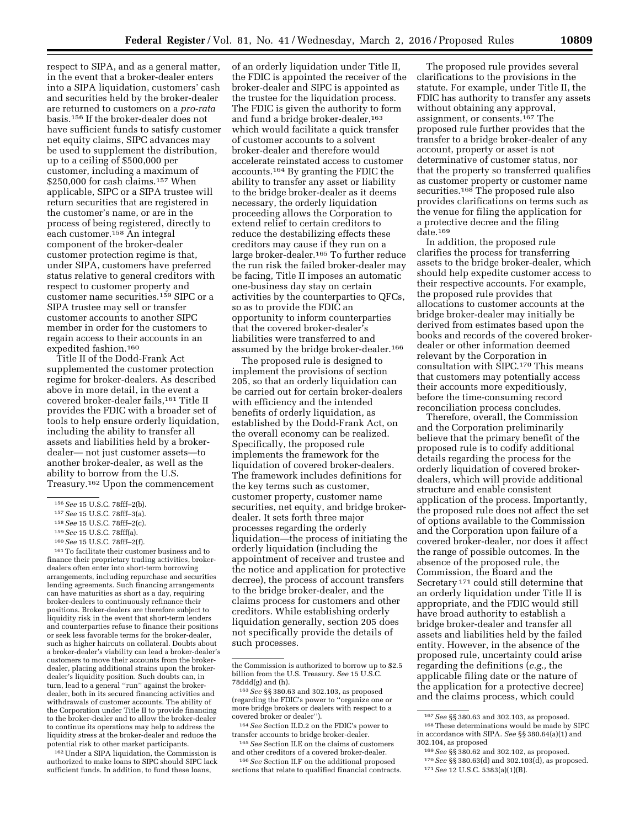respect to SIPA, and as a general matter, in the event that a broker-dealer enters into a SIPA liquidation, customers' cash and securities held by the broker-dealer are returned to customers on a *pro-rata*  basis.156 If the broker-dealer does not have sufficient funds to satisfy customer net equity claims, SIPC advances may be used to supplement the distribution, up to a ceiling of \$500,000 per customer, including a maximum of \$250,000 for cash claims.157 When applicable, SIPC or a SIPA trustee will return securities that are registered in the customer's name, or are in the process of being registered, directly to each customer.158 An integral component of the broker-dealer customer protection regime is that, under SIPA, customers have preferred status relative to general creditors with respect to customer property and customer name securities.159 SIPC or a SIPA trustee may sell or transfer customer accounts to another SIPC member in order for the customers to regain access to their accounts in an expedited fashion.<sup>160</sup>

Title II of the Dodd-Frank Act supplemented the customer protection regime for broker-dealers. As described above in more detail, in the event a covered broker-dealer fails,161 Title II provides the FDIC with a broader set of tools to help ensure orderly liquidation, including the ability to transfer all assets and liabilities held by a brokerdealer— not just customer assets—to another broker-dealer, as well as the ability to borrow from the U.S. Treasury.162 Upon the commencement

160*See* 15 U.S.C. 78fff–2(f).

161To facilitate their customer business and to finance their proprietary trading activities, brokerdealers often enter into short-term borrowing arrangements, including repurchase and securities lending agreements. Such financing arrangements can have maturities as short as a day, requiring broker-dealers to continuously refinance their positions. Broker-dealers are therefore subject to liquidity risk in the event that short-term lenders and counterparties refuse to finance their positions or seek less favorable terms for the broker-dealer, such as higher haircuts on collateral. Doubts about a broker-dealer's viability can lead a broker-dealer's customers to move their accounts from the brokerdealer, placing additional strains upon the brokerdealer's liquidity position. Such doubts can, in turn, lead to a general ''run'' against the brokerdealer, both in its secured financing activities and withdrawals of customer accounts. The ability of the Corporation under Title II to provide financing to the broker-dealer and to allow the broker-dealer to continue its operations may help to address the liquidity stress at the broker-dealer and reduce the potential risk to other market participants.

162Under a SIPA liquidation, the Commission is authorized to make loans to SIPC should SIPC lack sufficient funds. In addition, to fund these loans,

of an orderly liquidation under Title II, the FDIC is appointed the receiver of the broker-dealer and SIPC is appointed as the trustee for the liquidation process. The FDIC is given the authority to form and fund a bridge broker-dealer,<sup>163</sup> which would facilitate a quick transfer of customer accounts to a solvent broker-dealer and therefore would accelerate reinstated access to customer accounts.164 By granting the FDIC the ability to transfer any asset or liability to the bridge broker-dealer as it deems necessary, the orderly liquidation proceeding allows the Corporation to extend relief to certain creditors to reduce the destabilizing effects these creditors may cause if they run on a large broker-dealer.165 To further reduce the run risk the failed broker-dealer may be facing, Title II imposes an automatic one-business day stay on certain activities by the counterparties to QFCs, so as to provide the FDIC an opportunity to inform counterparties that the covered broker-dealer's liabilities were transferred to and assumed by the bridge broker-dealer.166

The proposed rule is designed to implement the provisions of section 205, so that an orderly liquidation can be carried out for certain broker-dealers with efficiency and the intended benefits of orderly liquidation, as established by the Dodd-Frank Act, on the overall economy can be realized. Specifically, the proposed rule implements the framework for the liquidation of covered broker-dealers. The framework includes definitions for the key terms such as customer, customer property, customer name securities, net equity, and bridge brokerdealer. It sets forth three major processes regarding the orderly liquidation—the process of initiating the orderly liquidation (including the appointment of receiver and trustee and the notice and application for protective decree), the process of account transfers to the bridge broker-dealer, and the claims process for customers and other creditors. While establishing orderly liquidation generally, section 205 does not specifically provide the details of such processes.

163*See* §§ 380.63 and 302.103, as proposed (regarding the FDIC's power to ''organize one or more bridge brokers or dealers with respect to a covered broker or dealer'').

164*See* Section II.D.2 on the FDIC's power to transfer accounts to bridge broker-dealer. 165*See* Section II.E on the claims of customers

and other creditors of a covered broker-dealer.

166*See* Section II.F on the additional proposed sections that relate to qualified financial contracts.

The proposed rule provides several clarifications to the provisions in the statute. For example, under Title II, the FDIC has authority to transfer any assets without obtaining any approval, assignment, or consents.167 The proposed rule further provides that the transfer to a bridge broker-dealer of any account, property or asset is not determinative of customer status, nor that the property so transferred qualifies as customer property or customer name securities.<sup>168</sup> The proposed rule also provides clarifications on terms such as the venue for filing the application for a protective decree and the filing date.169

In addition, the proposed rule clarifies the process for transferring assets to the bridge broker-dealer, which should help expedite customer access to their respective accounts. For example, the proposed rule provides that allocations to customer accounts at the bridge broker-dealer may initially be derived from estimates based upon the books and records of the covered brokerdealer or other information deemed relevant by the Corporation in consultation with SIPC.170 This means that customers may potentially access their accounts more expeditiously, before the time-consuming record reconciliation process concludes.

Therefore, overall, the Commission and the Corporation preliminarily believe that the primary benefit of the proposed rule is to codify additional details regarding the process for the orderly liquidation of covered brokerdealers, which will provide additional structure and enable consistent application of the process. Importantly, the proposed rule does not affect the set of options available to the Commission and the Corporation upon failure of a covered broker-dealer, nor does it affect the range of possible outcomes. In the absence of the proposed rule, the Commission, the Board and the Secretary 171 could still determine that an orderly liquidation under Title II is appropriate, and the FDIC would still have broad authority to establish a bridge broker-dealer and transfer all assets and liabilities held by the failed entity. However, in the absence of the proposed rule, uncertainty could arise regarding the definitions (*e.g.,* the applicable filing date or the nature of the application for a protective decree) and the claims process, which could

<sup>156</sup>*See* 15 U.S.C. 78fff–2(b).

<sup>157</sup>*See* 15 U.S.C. 78fff–3(a).

<sup>158</sup>*See* 15 U.S.C. 78fff–2(c).

<sup>159</sup>*See* 15 U.S.C. 78fff(a).

the Commission is authorized to borrow up to \$2.5 billion from the U.S. Treasury. *See* 15 U.S.C. 78ddd(g) and (h).

<sup>167</sup>*See* §§ 380.63 and 302.103, as proposed. 168These determinations would be made by SIPC in accordance with SIPA. *See* §§ 380.64(a)(1) and

<sup>302.104,</sup> as proposed 169*See* §§ 380.62 and 302.102, as proposed. 170*See* §§ 380.63(d) and 302.103(d), as proposed. 171*See* 12 U.S.C. 5383(a)(1)(B).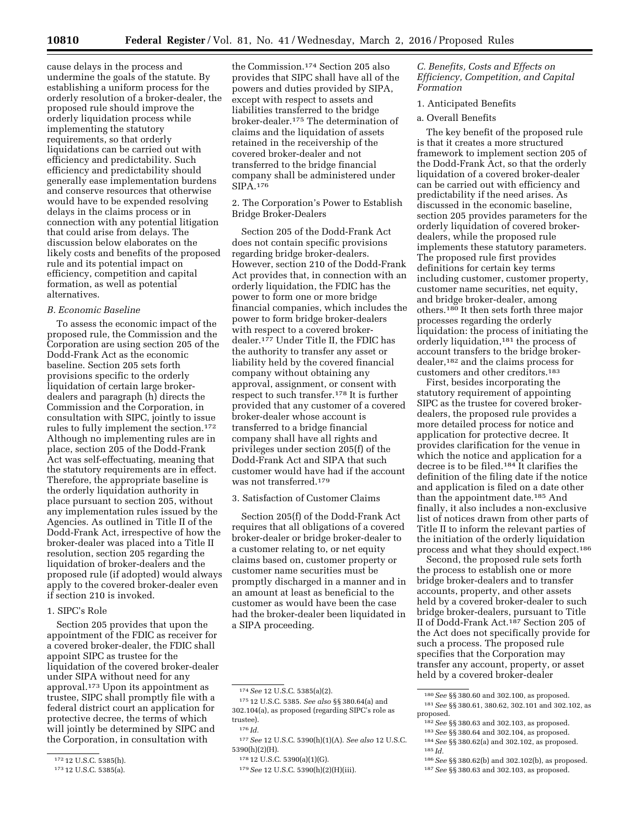cause delays in the process and undermine the goals of the statute. By establishing a uniform process for the orderly resolution of a broker-dealer, the proposed rule should improve the orderly liquidation process while implementing the statutory requirements, so that orderly liquidations can be carried out with efficiency and predictability. Such efficiency and predictability should generally ease implementation burdens and conserve resources that otherwise would have to be expended resolving delays in the claims process or in connection with any potential litigation that could arise from delays. The discussion below elaborates on the likely costs and benefits of the proposed rule and its potential impact on efficiency, competition and capital formation, as well as potential alternatives.

## *B. Economic Baseline*

To assess the economic impact of the proposed rule, the Commission and the Corporation are using section 205 of the Dodd-Frank Act as the economic baseline. Section 205 sets forth provisions specific to the orderly liquidation of certain large brokerdealers and paragraph (h) directs the Commission and the Corporation, in consultation with SIPC, jointly to issue rules to fully implement the section.172 Although no implementing rules are in place, section 205 of the Dodd-Frank Act was self-effectuating, meaning that the statutory requirements are in effect. Therefore, the appropriate baseline is the orderly liquidation authority in place pursuant to section 205, without any implementation rules issued by the Agencies. As outlined in Title II of the Dodd-Frank Act, irrespective of how the broker-dealer was placed into a Title II resolution, section 205 regarding the liquidation of broker-dealers and the proposed rule (if adopted) would always apply to the covered broker-dealer even if section 210 is invoked.

## 1. SIPC's Role

Section 205 provides that upon the appointment of the FDIC as receiver for a covered broker-dealer, the FDIC shall appoint SIPC as trustee for the liquidation of the covered broker-dealer under SIPA without need for any approval.173 Upon its appointment as trustee, SIPC shall promptly file with a federal district court an application for protective decree, the terms of which will jointly be determined by SIPC and the Corporation, in consultation with

the Commission.174 Section 205 also provides that SIPC shall have all of the powers and duties provided by SIPA, except with respect to assets and liabilities transferred to the bridge broker-dealer.175 The determination of claims and the liquidation of assets retained in the receivership of the covered broker-dealer and not transferred to the bridge financial company shall be administered under SIPA.176

2. The Corporation's Power to Establish Bridge Broker-Dealers

Section 205 of the Dodd-Frank Act does not contain specific provisions regarding bridge broker-dealers. However, section 210 of the Dodd-Frank Act provides that, in connection with an orderly liquidation, the FDIC has the power to form one or more bridge financial companies, which includes the power to form bridge broker-dealers with respect to a covered brokerdealer.177 Under Title II, the FDIC has the authority to transfer any asset or liability held by the covered financial company without obtaining any approval, assignment, or consent with respect to such transfer.178 It is further provided that any customer of a covered broker-dealer whose account is transferred to a bridge financial company shall have all rights and privileges under section 205(f) of the Dodd-Frank Act and SIPA that such customer would have had if the account was not transferred.179

#### 3. Satisfaction of Customer Claims

Section 205(f) of the Dodd-Frank Act requires that all obligations of a covered broker-dealer or bridge broker-dealer to a customer relating to, or net equity claims based on, customer property or customer name securities must be promptly discharged in a manner and in an amount at least as beneficial to the customer as would have been the case had the broker-dealer been liquidated in a SIPA proceeding.

## *C. Benefits, Costs and Effects on Efficiency, Competition, and Capital Formation*

## 1. Anticipated Benefits

## a. Overall Benefits

The key benefit of the proposed rule is that it creates a more structured framework to implement section 205 of the Dodd-Frank Act, so that the orderly liquidation of a covered broker-dealer can be carried out with efficiency and predictability if the need arises. As discussed in the economic baseline, section 205 provides parameters for the orderly liquidation of covered brokerdealers, while the proposed rule implements these statutory parameters. The proposed rule first provides definitions for certain key terms including customer, customer property, customer name securities, net equity, and bridge broker-dealer, among others.180 It then sets forth three major processes regarding the orderly liquidation: the process of initiating the orderly liquidation,181 the process of account transfers to the bridge brokerdealer,182 and the claims process for customers and other creditors.183

First, besides incorporating the statutory requirement of appointing SIPC as the trustee for covered brokerdealers, the proposed rule provides a more detailed process for notice and application for protective decree. It provides clarification for the venue in which the notice and application for a decree is to be filed.184 It clarifies the definition of the filing date if the notice and application is filed on a date other than the appointment date.185 And finally, it also includes a non-exclusive list of notices drawn from other parts of Title II to inform the relevant parties of the initiation of the orderly liquidation process and what they should expect.186

Second, the proposed rule sets forth the process to establish one or more bridge broker-dealers and to transfer accounts, property, and other assets held by a covered broker-dealer to such bridge broker-dealers, pursuant to Title II of Dodd-Frank Act.187 Section 205 of the Act does not specifically provide for such a process. The proposed rule specifies that the Corporation may transfer any account, property, or asset held by a covered broker-dealer

<sup>172</sup> 12 U.S.C. 5385(h).

<sup>173</sup> 12 U.S.C. 5385(a).

<sup>174</sup>*See* 12 U.S.C. 5385(a)(2).

<sup>175</sup> 12 U.S.C. 5385. *See also* §§ 380.64(a) and 302.104(a), as proposed (regarding SIPC's role as trustee).

<sup>176</sup> *Id.* 

<sup>177</sup>*See* 12 U.S.C. 5390(h)(1)(A). *See also* 12 U.S.C. 5390(h)(2)(H).

<sup>178</sup> 12 U.S.C. 5390(a)(1)(G).

<sup>179</sup>*See* 12 U.S.C. 5390(h)(2)(H)(iii).

<sup>180</sup>*See* §§ 380.60 and 302.100, as proposed.

<sup>181</sup>*See* §§ 380.61, 380.62, 302.101 and 302.102, as proposed.

<sup>182</sup>*See* §§ 380.63 and 302.103, as proposed.

<sup>183</sup>*See* §§ 380.64 and 302.104, as proposed.

<sup>184</sup>*See* §§ 380.62(a) and 302.102, as proposed. 185 *Id.* 

<sup>186</sup>*See* §§ 380.62(b) and 302.102(b), as proposed. 187*See* §§ 380.63 and 302.103, as proposed.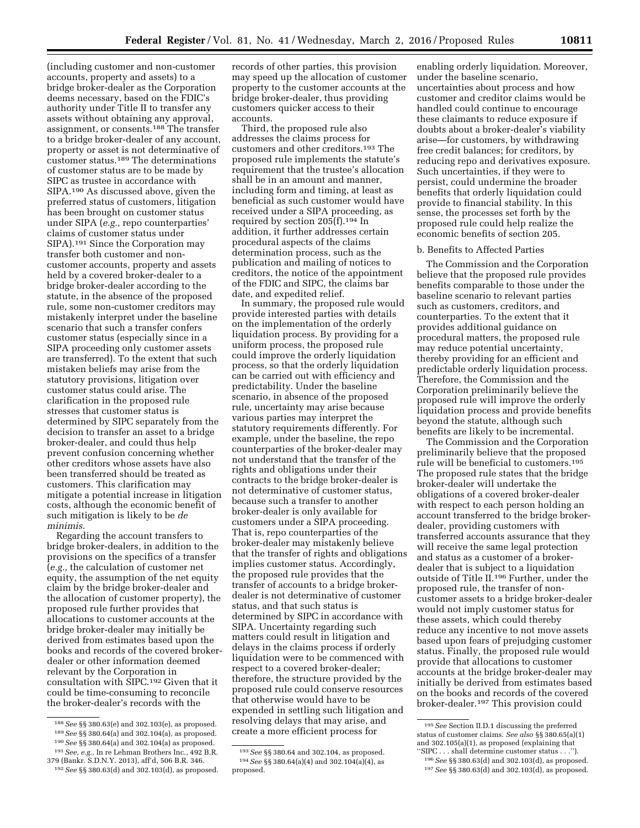(including customer and non-customer accounts, property and assets) to a bridge broker-dealer as the Corporation deems necessary, based on the FDIC's authority under Title II to transfer any assets without obtaining any approval, assignment, or consents.188 The transfer to a bridge broker-dealer of any account, property or asset is not determinative of customer status.189 The determinations of customer status are to be made by SIPC as trustee in accordance with SIPA.190 As discussed above, given the preferred status of customers, litigation has been brought on customer status under SIPA (*e.g.,* repo counterparties' claims of customer status under SIPA).191 Since the Corporation may transfer both customer and noncustomer accounts, property and assets held by a covered broker-dealer to a bridge broker-dealer according to the statute, in the absence of the proposed rule, some non-customer creditors may mistakenly interpret under the baseline scenario that such a transfer confers customer status (especially since in a SIPA proceeding only customer assets are transferred). To the extent that such mistaken beliefs may arise from the statutory provisions, litigation over customer status could arise. The clarification in the proposed rule stresses that customer status is determined by SIPC separately from the decision to transfer an asset to a bridge broker-dealer, and could thus help prevent confusion concerning whether other creditors whose assets have also been transferred should be treated as customers. This clarification may mitigate a potential increase in litigation costs, although the economic benefit of such mitigation is likely to be *de minimis.* 

Regarding the account transfers to bridge broker-dealers, in addition to the provisions on the specifics of a transfer (*e.g.,* the calculation of customer net equity, the assumption of the net equity claim by the bridge broker-dealer and the allocation of customer property), the proposed rule further provides that allocations to customer accounts at the bridge broker-dealer may initially be derived from estimates based upon the books and records of the covered brokerdealer or other information deemed relevant by the Corporation in consultation with SIPC.192 Given that it could be time-consuming to reconcile the broker-dealer's records with the

records of other parties, this provision may speed up the allocation of customer property to the customer accounts at the bridge broker-dealer, thus providing customers quicker access to their accounts.

Third, the proposed rule also addresses the claims process for customers and other creditors.193 The proposed rule implements the statute's requirement that the trustee's allocation shall be in an amount and manner, including form and timing, at least as beneficial as such customer would have received under a SIPA proceeding, as required by section 205(f).194 In addition, it further addresses certain procedural aspects of the claims determination process, such as the publication and mailing of notices to creditors, the notice of the appointment of the FDIC and SIPC, the claims bar date, and expedited relief.

In summary, the proposed rule would provide interested parties with details on the implementation of the orderly liquidation process. By providing for a uniform process, the proposed rule could improve the orderly liquidation process, so that the orderly liquidation can be carried out with efficiency and predictability. Under the baseline scenario, in absence of the proposed rule, uncertainty may arise because various parties may interpret the statutory requirements differently. For example, under the baseline, the repo counterparties of the broker-dealer may not understand that the transfer of the rights and obligations under their contracts to the bridge broker-dealer is not determinative of customer status, because such a transfer to another broker-dealer is only available for customers under a SIPA proceeding. That is, repo counterparties of the broker-dealer may mistakenly believe that the transfer of rights and obligations implies customer status. Accordingly, the proposed rule provides that the transfer of accounts to a bridge brokerdealer is not determinative of customer status, and that such status is determined by SIPC in accordance with SIPA. Uncertainty regarding such matters could result in litigation and delays in the claims process if orderly liquidation were to be commenced with respect to a covered broker-dealer; therefore, the structure provided by the proposed rule could conserve resources that otherwise would have to be expended in settling such litigation and resolving delays that may arise, and create a more efficient process for

enabling orderly liquidation. Moreover, under the baseline scenario, uncertainties about process and how customer and creditor claims would be handled could continue to encourage these claimants to reduce exposure if doubts about a broker-dealer's viability arise—for customers, by withdrawing free credit balances; for creditors, by reducing repo and derivatives exposure. Such uncertainties, if they were to persist, could undermine the broader benefits that orderly liquidation could provide to financial stability. In this sense, the processes set forth by the proposed rule could help realize the economic benefits of section 205.

## b. Benefits to Affected Parties

The Commission and the Corporation believe that the proposed rule provides benefits comparable to those under the baseline scenario to relevant parties such as customers, creditors, and counterparties. To the extent that it provides additional guidance on procedural matters, the proposed rule may reduce potential uncertainty, thereby providing for an efficient and predictable orderly liquidation process. Therefore, the Commission and the Corporation preliminarily believe the proposed rule will improve the orderly liquidation process and provide benefits beyond the statute, although such benefits are likely to be incremental.

The Commission and the Corporation preliminarily believe that the proposed rule will be beneficial to customers.195 The proposed rule states that the bridge broker-dealer will undertake the obligations of a covered broker-dealer with respect to each person holding an account transferred to the bridge brokerdealer, providing customers with transferred accounts assurance that they will receive the same legal protection and status as a customer of a brokerdealer that is subject to a liquidation outside of Title II.196 Further, under the proposed rule, the transfer of noncustomer assets to a bridge broker-dealer would not imply customer status for these assets, which could thereby reduce any incentive to not move assets based upon fears of prejudging customer status. Finally, the proposed rule would provide that allocations to customer accounts at the bridge broker-dealer may initially be derived from estimates based on the books and records of the covered broker-dealer.197 This provision could

<sup>188</sup>*See* §§ 380.63(e) and 302.103(e), as proposed. 189*See* §§ 380.64(a) and 302.104(a), as proposed. 190*See* §§ 380.64(a) and 302.104(a) as proposed.

<sup>191</sup>*See, e.g.,* In re Lehman Brothers Inc., 492 B.R. 379 (Bankr. S.D.N.Y. 2013), aff'd, 506 B.R. 346.

<sup>192</sup>*See* §§ 380.63(d) and 302.103(d), as proposed.

<sup>193</sup>*See* §§ 380.64 and 302.104, as proposed. 194*See* §§ 380.64(a)(4) and 302.104(a)(4), as proposed.

<sup>195</sup>*See* Section II.D.1 discussing the preferred status of customer claims. *See also* §§ 380.65(a)(1) and 302.105(a)(1), as proposed (explaining that ''SIPC . . . shall determine customer status . . .'').

<sup>196</sup>*See* §§ 380.63(d) and 302.103(d), as proposed.

<sup>197</sup>*See* §§ 380.63(d) and 302.103(d), as proposed.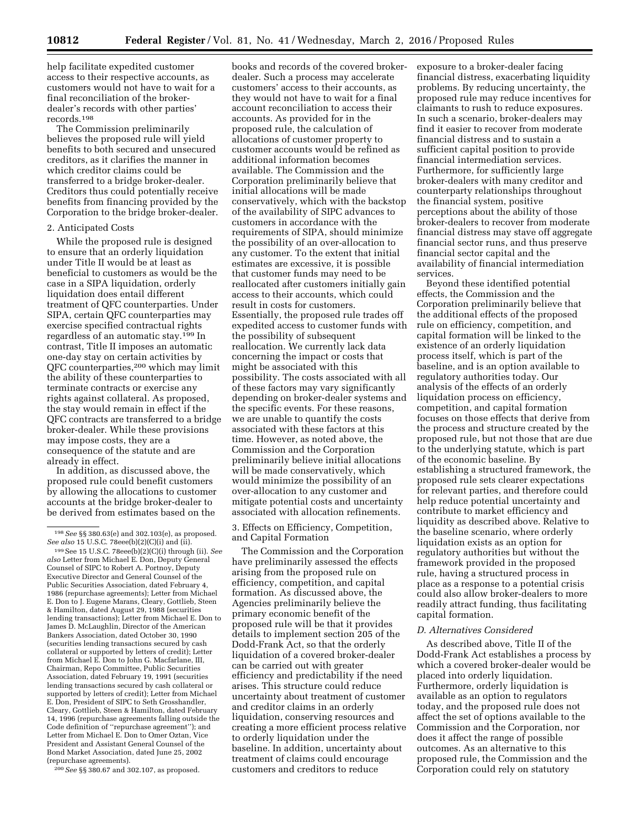help facilitate expedited customer access to their respective accounts, as customers would not have to wait for a final reconciliation of the brokerdealer's records with other parties' records.198

The Commission preliminarily believes the proposed rule will yield benefits to both secured and unsecured creditors, as it clarifies the manner in which creditor claims could be transferred to a bridge broker-dealer. Creditors thus could potentially receive benefits from financing provided by the Corporation to the bridge broker-dealer.

## 2. Anticipated Costs

While the proposed rule is designed to ensure that an orderly liquidation under Title II would be at least as beneficial to customers as would be the case in a SIPA liquidation, orderly liquidation does entail different treatment of QFC counterparties. Under SIPA, certain QFC counterparties may exercise specified contractual rights regardless of an automatic stay.199 In contrast, Title II imposes an automatic one-day stay on certain activities by QFC counterparties,200 which may limit the ability of these counterparties to terminate contracts or exercise any rights against collateral. As proposed, the stay would remain in effect if the QFC contracts are transferred to a bridge broker-dealer. While these provisions may impose costs, they are a consequence of the statute and are already in effect.

In addition, as discussed above, the proposed rule could benefit customers by allowing the allocations to customer accounts at the bridge broker-dealer to be derived from estimates based on the

200*See* §§ 380.67 and 302.107, as proposed.

books and records of the covered brokerdealer. Such a process may accelerate customers' access to their accounts, as they would not have to wait for a final account reconciliation to access their accounts. As provided for in the proposed rule, the calculation of allocations of customer property to customer accounts would be refined as additional information becomes available. The Commission and the Corporation preliminarily believe that initial allocations will be made conservatively, which with the backstop of the availability of SIPC advances to customers in accordance with the requirements of SIPA, should minimize the possibility of an over-allocation to any customer. To the extent that initial estimates are excessive, it is possible that customer funds may need to be reallocated after customers initially gain access to their accounts, which could result in costs for customers. Essentially, the proposed rule trades off expedited access to customer funds with the possibility of subsequent reallocation. We currently lack data concerning the impact or costs that might be associated with this possibility. The costs associated with all of these factors may vary significantly depending on broker-dealer systems and the specific events. For these reasons, we are unable to quantify the costs associated with these factors at this time. However, as noted above, the Commission and the Corporation preliminarily believe initial allocations will be made conservatively, which would minimize the possibility of an over-allocation to any customer and mitigate potential costs and uncertainty associated with allocation refinements.

3. Effects on Efficiency, Competition, and Capital Formation

The Commission and the Corporation have preliminarily assessed the effects arising from the proposed rule on efficiency, competition, and capital formation. As discussed above, the Agencies preliminarily believe the primary economic benefit of the proposed rule will be that it provides details to implement section 205 of the Dodd-Frank Act, so that the orderly liquidation of a covered broker-dealer can be carried out with greater efficiency and predictability if the need arises. This structure could reduce uncertainty about treatment of customer and creditor claims in an orderly liquidation, conserving resources and creating a more efficient process relative to orderly liquidation under the baseline. In addition, uncertainty about treatment of claims could encourage customers and creditors to reduce

exposure to a broker-dealer facing financial distress, exacerbating liquidity problems. By reducing uncertainty, the proposed rule may reduce incentives for claimants to rush to reduce exposures. In such a scenario, broker-dealers may find it easier to recover from moderate financial distress and to sustain a sufficient capital position to provide financial intermediation services. Furthermore, for sufficiently large broker-dealers with many creditor and counterparty relationships throughout the financial system, positive perceptions about the ability of those broker-dealers to recover from moderate financial distress may stave off aggregate financial sector runs, and thus preserve financial sector capital and the availability of financial intermediation services.

Beyond these identified potential effects, the Commission and the Corporation preliminarily believe that the additional effects of the proposed rule on efficiency, competition, and capital formation will be linked to the existence of an orderly liquidation process itself, which is part of the baseline, and is an option available to regulatory authorities today. Our analysis of the effects of an orderly liquidation process on efficiency, competition, and capital formation focuses on those effects that derive from the process and structure created by the proposed rule, but not those that are due to the underlying statute, which is part of the economic baseline. By establishing a structured framework, the proposed rule sets clearer expectations for relevant parties, and therefore could help reduce potential uncertainty and contribute to market efficiency and liquidity as described above. Relative to the baseline scenario, where orderly liquidation exists as an option for regulatory authorities but without the framework provided in the proposed rule, having a structured process in place as a response to a potential crisis could also allow broker-dealers to more readily attract funding, thus facilitating capital formation.

#### *D. Alternatives Considered*

As described above, Title II of the Dodd-Frank Act establishes a process by which a covered broker-dealer would be placed into orderly liquidation. Furthermore, orderly liquidation is available as an option to regulators today, and the proposed rule does not affect the set of options available to the Commission and the Corporation, nor does it affect the range of possible outcomes. As an alternative to this proposed rule, the Commission and the Corporation could rely on statutory

<sup>198</sup>*See* §§ 380.63(e) and 302.103(e), as proposed. *See also* 15 U.S.C. 78eee(b)(2)(C)(i) and (ii).

<sup>199</sup>See 15 U.S.C. 78eee(b)(2)(C)(i) through (ii). *See also* Letter from Michael E. Don, Deputy General Counsel of SIPC to Robert A. Portnoy, Deputy Executive Director and General Counsel of the Public Securities Association, dated February 4, 1986 (repurchase agreements); Letter from Michael E. Don to J. Eugene Marans, Cleary, Gottlieb, Steen & Hamilton, dated August 29, 1988 (securities lending transactions); Letter from Michael E. Don to James D. McLaughlin, Director of the American Bankers Association, dated October 30, 1990 (securities lending transactions secured by cash collateral or supported by letters of credit); Letter from Michael E. Don to John G. Macfarlane, III, Chairman, Repo Committee, Public Securities Association, dated February 19, 1991 (securities lending transactions secured by cash collateral or supported by letters of credit); Letter from Michael E. Don, President of SIPC to Seth Grosshandler, Cleary, Gottlieb, Steen & Hamilton, dated February 14, 1996 (repurchase agreements falling outside the Code definition of ''repurchase agreement''); and Letter from Michael E. Don to Omer Oztan, Vice President and Assistant General Counsel of the Bond Market Association, dated June 25, 2002 (repurchase agreements).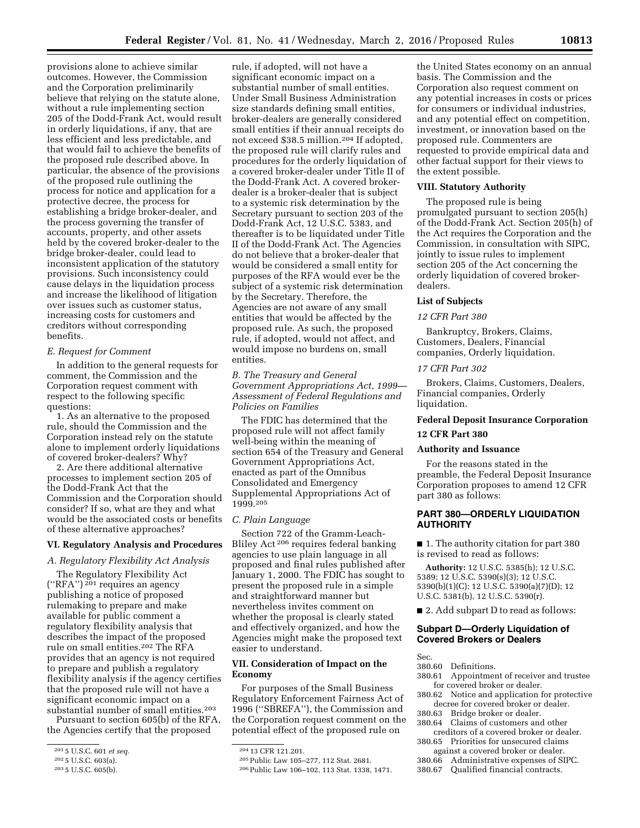provisions alone to achieve similar outcomes. However, the Commission and the Corporation preliminarily believe that relying on the statute alone, without a rule implementing section 205 of the Dodd-Frank Act, would result in orderly liquidations, if any, that are less efficient and less predictable, and that would fail to achieve the benefits of the proposed rule described above. In particular, the absence of the provisions of the proposed rule outlining the process for notice and application for a protective decree, the process for establishing a bridge broker-dealer, and the process governing the transfer of accounts, property, and other assets held by the covered broker-dealer to the bridge broker-dealer, could lead to inconsistent application of the statutory provisions. Such inconsistency could cause delays in the liquidation process and increase the likelihood of litigation over issues such as customer status, increasing costs for customers and creditors without corresponding benefits.

# *E. Request for Comment*

In addition to the general requests for comment, the Commission and the Corporation request comment with respect to the following specific questions:

1. As an alternative to the proposed rule, should the Commission and the Corporation instead rely on the statute alone to implement orderly liquidations of covered broker-dealers? Why?

2. Are there additional alternative processes to implement section 205 of the Dodd-Frank Act that the Commission and the Corporation should consider? If so, what are they and what would be the associated costs or benefits of these alternative approaches?

# **VI. Regulatory Analysis and Procedures**

*A. Regulatory Flexibility Act Analysis* 

The Regulatory Flexibility Act (''RFA'') 201 requires an agency publishing a notice of proposed rulemaking to prepare and make available for public comment a regulatory flexibility analysis that describes the impact of the proposed rule on small entities.202 The RFA provides that an agency is not required to prepare and publish a regulatory flexibility analysis if the agency certifies that the proposed rule will not have a significant economic impact on a substantial number of small entities.203

Pursuant to section 605(b) of the RFA, the Agencies certify that the proposed

rule, if adopted, will not have a significant economic impact on a substantial number of small entities. Under Small Business Administration size standards defining small entities, broker-dealers are generally considered small entities if their annual receipts do not exceed \$38.5 million.204 If adopted, the proposed rule will clarify rules and procedures for the orderly liquidation of a covered broker-dealer under Title II of the Dodd-Frank Act. A covered brokerdealer is a broker-dealer that is subject to a systemic risk determination by the Secretary pursuant to section 203 of the Dodd-Frank Act, 12 U.S.C. 5383, and thereafter is to be liquidated under Title II of the Dodd-Frank Act. The Agencies do not believe that a broker-dealer that would be considered a small entity for purposes of the RFA would ever be the subject of a systemic risk determination by the Secretary. Therefore, the Agencies are not aware of any small entities that would be affected by the proposed rule. As such, the proposed rule, if adopted, would not affect, and would impose no burdens on, small entities.

*B. The Treasury and General Government Appropriations Act, 1999— Assessment of Federal Regulations and Policies on Families* 

The FDIC has determined that the proposed rule will not affect family well-being within the meaning of section 654 of the Treasury and General Government Appropriations Act, enacted as part of the Omnibus Consolidated and Emergency Supplemental Appropriations Act of 1999.205

#### *C. Plain Language*

Section 722 of the Gramm-Leach-Bliley Act 206 requires federal banking agencies to use plain language in all proposed and final rules published after January 1, 2000. The FDIC has sought to present the proposed rule in a simple and straightforward manner but nevertheless invites comment on whether the proposal is clearly stated and effectively organized, and how the Agencies might make the proposed text easier to understand.

# **VII. Consideration of Impact on the Economy**

For purposes of the Small Business Regulatory Enforcement Fairness Act of 1996 (''SBREFA''), the Commission and the Corporation request comment on the potential effect of the proposed rule on

the United States economy on an annual basis. The Commission and the Corporation also request comment on any potential increases in costs or prices for consumers or individual industries, and any potential effect on competition, investment, or innovation based on the proposed rule. Commenters are requested to provide empirical data and other factual support for their views to the extent possible.

## **VIII. Statutory Authority**

The proposed rule is being promulgated pursuant to section 205(h) of the Dodd-Frank Act. Section 205(h) of the Act requires the Corporation and the Commission, in consultation with SIPC, jointly to issue rules to implement section 205 of the Act concerning the orderly liquidation of covered brokerdealers.

#### **List of Subjects**

#### *12 CFR Part 380*

Bankruptcy, Brokers, Claims, Customers, Dealers, Financial companies, Orderly liquidation.

#### *17 CFR Part 302*

Brokers, Claims, Customers, Dealers, Financial companies, Orderly liquidation.

## **Federal Deposit Insurance Corporation**

#### **12 CFR Part 380**

# **Authority and Issuance**

For the reasons stated in the preamble, the Federal Deposit Insurance Corporation proposes to amend 12 CFR part 380 as follows:

# **PART 380—ORDERLY LIQUIDATION AUTHORITY**

■ 1. The authority citation for part 380 is revised to read as follows:

**Authority:** 12 U.S.C. 5385(h); 12 U.S.C. 5389; 12 U.S.C. 5390(s)(3); 12 U.S.C. 5390(b)(1)(C); 12 U.S.C. 5390(a)(7)(D); 12 U.S.C. 5381(b), 12 U.S.C. 5390(r).

■ 2. Add subpart D to read as follows:

## **Subpart D—Orderly Liquidation of Covered Brokers or Dealers**

Sec.

- 380.60 Definitions.
- 380.61 Appointment of receiver and trustee for covered broker or dealer.
- 380.62 Notice and application for protective decree for covered broker or dealer.
- 380.63 Bridge broker or dealer.<br>380.64 Claims of customers and
	- Claims of customers and other
- creditors of a covered broker or dealer. 380.65 Priorities for unsecured claims
- against a covered broker or dealer.

Qualified financial contracts.

<sup>201</sup> 5 U.S.C. 601 *et seq.* 

<sup>202</sup> 5 U.S.C. 603(a).

<sup>203</sup> 5 U.S.C. 605(b).

<sup>204</sup> 13 CFR 121.201.

<sup>205</sup>Public Law 105–277, 112 Stat. 2681.

<sup>206</sup>Public Law 106–102, 113 Stat. 1338, 1471.

<sup>380.66</sup> Administrative expenses of SIPC.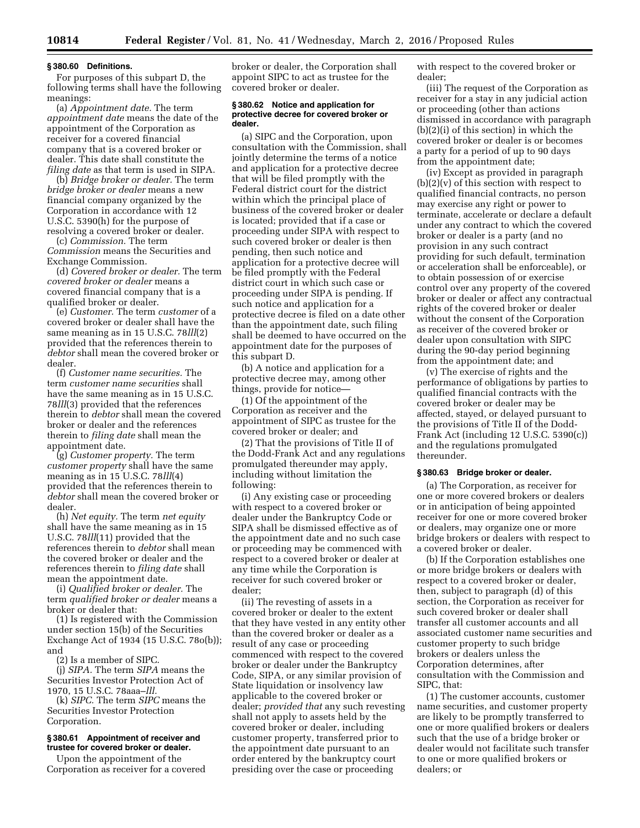#### **§ 380.60 Definitions.**

For purposes of this subpart D, the following terms shall have the following meanings:

(a) *Appointment date.* The term *appointment date* means the date of the appointment of the Corporation as receiver for a covered financial company that is a covered broker or dealer. This date shall constitute the *filing date* as that term is used in SIPA.

(b) *Bridge broker or dealer.* The term *bridge broker or dealer* means a new financial company organized by the Corporation in accordance with 12 U.S.C. 5390(h) for the purpose of resolving a covered broker or dealer.

(c) *Commission.* The term *Commission* means the Securities and Exchange Commission.

(d) *Covered broker or dealer.* The term *covered broker or dealer* means a covered financial company that is a qualified broker or dealer.

(e) *Customer.* The term *customer* of a covered broker or dealer shall have the same meaning as in 15 U.S.C. 78*lll*(2) provided that the references therein to *debtor* shall mean the covered broker or dealer.

(f) *Customer name securities.* The term *customer name securities* shall have the same meaning as in 15 U.S.C. 78*lll*(3) provided that the references therein to *debtor* shall mean the covered broker or dealer and the references therein to *filing date* shall mean the appointment date.

(g) *Customer property.* The term *customer property* shall have the same meaning as in 15 U.S.C. 78*lll*(4) provided that the references therein to *debtor* shall mean the covered broker or dealer.

(h) *Net equity.* The term *net equity*  shall have the same meaning as in 15 U.S.C. 78*lll*(11) provided that the references therein to *debtor* shall mean the covered broker or dealer and the references therein to *filing date* shall mean the appointment date.

(i) *Qualified broker or dealer.* The term *qualified broker or dealer* means a broker or dealer that:

(1) Is registered with the Commission under section 15(b) of the Securities Exchange Act of 1934 (15 U.S.C. 78o(b)); and

(2) Is a member of SIPC.

(j) *SIPA.* The term *SIPA* means the Securities Investor Protection Act of 1970, 15 U.S.C. 78aaa–*lll.* 

(k) *SIPC.* The term *SIPC* means the Securities Investor Protection Corporation.

#### **§ 380.61 Appointment of receiver and trustee for covered broker or dealer.**

Upon the appointment of the Corporation as receiver for a covered

broker or dealer, the Corporation shall appoint SIPC to act as trustee for the covered broker or dealer.

#### **§ 380.62 Notice and application for protective decree for covered broker or dealer.**

(a) SIPC and the Corporation, upon consultation with the Commission, shall jointly determine the terms of a notice and application for a protective decree that will be filed promptly with the Federal district court for the district within which the principal place of business of the covered broker or dealer is located; provided that if a case or proceeding under SIPA with respect to such covered broker or dealer is then pending, then such notice and application for a protective decree will be filed promptly with the Federal district court in which such case or proceeding under SIPA is pending. If such notice and application for a protective decree is filed on a date other than the appointment date, such filing shall be deemed to have occurred on the appointment date for the purposes of this subpart D.

(b) A notice and application for a protective decree may, among other things, provide for notice—

(1) Of the appointment of the Corporation as receiver and the appointment of SIPC as trustee for the covered broker or dealer; and

(2) That the provisions of Title II of the Dodd-Frank Act and any regulations promulgated thereunder may apply, including without limitation the following:

(i) Any existing case or proceeding with respect to a covered broker or dealer under the Bankruptcy Code or SIPA shall be dismissed effective as of the appointment date and no such case or proceeding may be commenced with respect to a covered broker or dealer at any time while the Corporation is receiver for such covered broker or dealer;

(ii) The revesting of assets in a covered broker or dealer to the extent that they have vested in any entity other than the covered broker or dealer as a result of any case or proceeding commenced with respect to the covered broker or dealer under the Bankruptcy Code, SIPA, or any similar provision of State liquidation or insolvency law applicable to the covered broker or dealer; *provided that* any such revesting shall not apply to assets held by the covered broker or dealer, including customer property, transferred prior to the appointment date pursuant to an order entered by the bankruptcy court presiding over the case or proceeding

with respect to the covered broker or dealer;

(iii) The request of the Corporation as receiver for a stay in any judicial action or proceeding (other than actions dismissed in accordance with paragraph (b)(2)(i) of this section) in which the covered broker or dealer is or becomes a party for a period of up to 90 days from the appointment date;

(iv) Except as provided in paragraph  $(b)(2)(v)$  of this section with respect to qualified financial contracts, no person may exercise any right or power to terminate, accelerate or declare a default under any contract to which the covered broker or dealer is a party (and no provision in any such contract providing for such default, termination or acceleration shall be enforceable), or to obtain possession of or exercise control over any property of the covered broker or dealer or affect any contractual rights of the covered broker or dealer without the consent of the Corporation as receiver of the covered broker or dealer upon consultation with SIPC during the 90-day period beginning from the appointment date; and

(v) The exercise of rights and the performance of obligations by parties to qualified financial contracts with the covered broker or dealer may be affected, stayed, or delayed pursuant to the provisions of Title II of the Dodd-Frank Act (including 12 U.S.C. 5390(c)) and the regulations promulgated thereunder.

#### **§ 380.63 Bridge broker or dealer.**

(a) The Corporation, as receiver for one or more covered brokers or dealers or in anticipation of being appointed receiver for one or more covered broker or dealers, may organize one or more bridge brokers or dealers with respect to a covered broker or dealer.

(b) If the Corporation establishes one or more bridge brokers or dealers with respect to a covered broker or dealer, then, subject to paragraph (d) of this section, the Corporation as receiver for such covered broker or dealer shall transfer all customer accounts and all associated customer name securities and customer property to such bridge brokers or dealers unless the Corporation determines, after consultation with the Commission and SIPC, that:

(1) The customer accounts, customer name securities, and customer property are likely to be promptly transferred to one or more qualified brokers or dealers such that the use of a bridge broker or dealer would not facilitate such transfer to one or more qualified brokers or dealers; or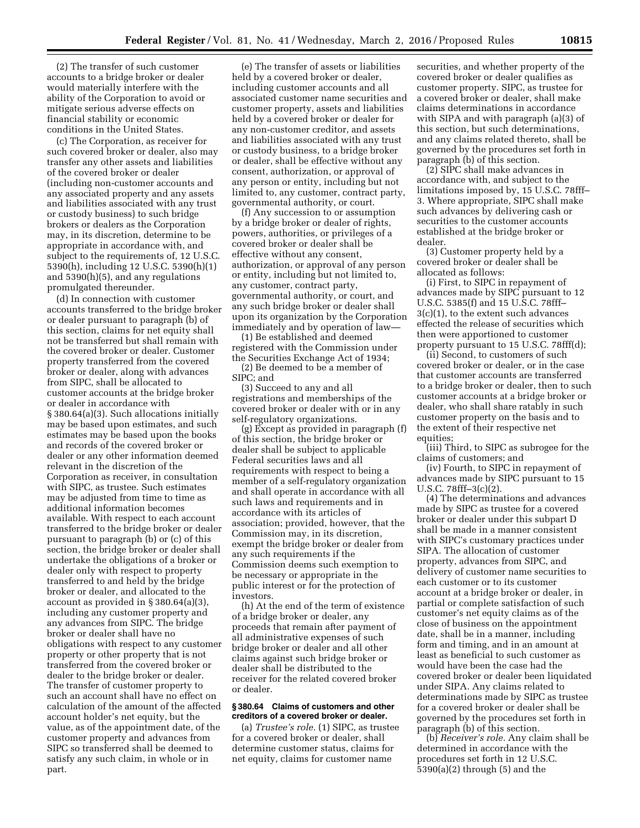(2) The transfer of such customer accounts to a bridge broker or dealer would materially interfere with the ability of the Corporation to avoid or mitigate serious adverse effects on financial stability or economic conditions in the United States.

(c) The Corporation, as receiver for such covered broker or dealer, also may transfer any other assets and liabilities of the covered broker or dealer (including non-customer accounts and any associated property and any assets and liabilities associated with any trust or custody business) to such bridge brokers or dealers as the Corporation may, in its discretion, determine to be appropriate in accordance with, and subject to the requirements of, 12 U.S.C. 5390(h), including 12 U.S.C. 5390(h)(1) and 5390(h)(5), and any regulations promulgated thereunder.

(d) In connection with customer accounts transferred to the bridge broker or dealer pursuant to paragraph (b) of this section, claims for net equity shall not be transferred but shall remain with the covered broker or dealer. Customer property transferred from the covered broker or dealer, along with advances from SIPC, shall be allocated to customer accounts at the bridge broker or dealer in accordance with § 380.64(a)(3). Such allocations initially may be based upon estimates, and such estimates may be based upon the books and records of the covered broker or dealer or any other information deemed relevant in the discretion of the Corporation as receiver, in consultation with SIPC, as trustee. Such estimates may be adjusted from time to time as additional information becomes available. With respect to each account transferred to the bridge broker or dealer pursuant to paragraph (b) or (c) of this section, the bridge broker or dealer shall undertake the obligations of a broker or dealer only with respect to property transferred to and held by the bridge broker or dealer, and allocated to the account as provided in § 380.64(a)(3), including any customer property and any advances from SIPC. The bridge broker or dealer shall have no obligations with respect to any customer property or other property that is not transferred from the covered broker or dealer to the bridge broker or dealer. The transfer of customer property to such an account shall have no effect on calculation of the amount of the affected account holder's net equity, but the value, as of the appointment date, of the customer property and advances from SIPC so transferred shall be deemed to satisfy any such claim, in whole or in part.

(e) The transfer of assets or liabilities held by a covered broker or dealer, including customer accounts and all associated customer name securities and customer property, assets and liabilities held by a covered broker or dealer for any non-customer creditor, and assets and liabilities associated with any trust or custody business, to a bridge broker or dealer, shall be effective without any consent, authorization, or approval of any person or entity, including but not limited to, any customer, contract party, governmental authority, or court.

(f) Any succession to or assumption by a bridge broker or dealer of rights, powers, authorities, or privileges of a covered broker or dealer shall be effective without any consent, authorization, or approval of any person or entity, including but not limited to, any customer, contract party, governmental authority, or court, and any such bridge broker or dealer shall upon its organization by the Corporation immediately and by operation of law—

(1) Be established and deemed registered with the Commission under the Securities Exchange Act of 1934; (2) Be deemed to be a member of SIPC; and

(3) Succeed to any and all registrations and memberships of the covered broker or dealer with or in any self-regulatory organizations.

(g) Except as provided in paragraph (f) of this section, the bridge broker or dealer shall be subject to applicable Federal securities laws and all requirements with respect to being a member of a self-regulatory organization and shall operate in accordance with all such laws and requirements and in accordance with its articles of association; provided, however, that the Commission may, in its discretion, exempt the bridge broker or dealer from any such requirements if the Commission deems such exemption to be necessary or appropriate in the public interest or for the protection of investors.

(h) At the end of the term of existence of a bridge broker or dealer, any proceeds that remain after payment of all administrative expenses of such bridge broker or dealer and all other claims against such bridge broker or dealer shall be distributed to the receiver for the related covered broker or dealer.

#### **§ 380.64 Claims of customers and other creditors of a covered broker or dealer.**

(a) *Trustee's role.* (1) SIPC, as trustee for a covered broker or dealer, shall determine customer status, claims for net equity, claims for customer name

securities, and whether property of the covered broker or dealer qualifies as customer property. SIPC, as trustee for a covered broker or dealer, shall make claims determinations in accordance with SIPA and with paragraph (a)(3) of this section, but such determinations, and any claims related thereto, shall be governed by the procedures set forth in paragraph (b) of this section.

(2) SIPC shall make advances in accordance with, and subject to the limitations imposed by, 15 U.S.C. 78fff– 3. Where appropriate, SIPC shall make such advances by delivering cash or securities to the customer accounts established at the bridge broker or dealer.

(3) Customer property held by a covered broker or dealer shall be allocated as follows:

(i) First, to SIPC in repayment of advances made by SIPC pursuant to 12 U.S.C. 5385(f) and 15 U.S.C. 78fff– 3(c)(1), to the extent such advances effected the release of securities which then were apportioned to customer property pursuant to 15 U.S.C. 78fff(d);

(ii) Second, to customers of such covered broker or dealer, or in the case that customer accounts are transferred to a bridge broker or dealer, then to such customer accounts at a bridge broker or dealer, who shall share ratably in such customer property on the basis and to the extent of their respective net equities;

(iii) Third, to SIPC as subrogee for the claims of customers; and

(iv) Fourth, to SIPC in repayment of advances made by SIPC pursuant to 15 U.S.C. 78fff–3(c)(2).

(4) The determinations and advances made by SIPC as trustee for a covered broker or dealer under this subpart D shall be made in a manner consistent with SIPC's customary practices under SIPA. The allocation of customer property, advances from SIPC, and delivery of customer name securities to each customer or to its customer account at a bridge broker or dealer, in partial or complete satisfaction of such customer's net equity claims as of the close of business on the appointment date, shall be in a manner, including form and timing, and in an amount at least as beneficial to such customer as would have been the case had the covered broker or dealer been liquidated under SIPA. Any claims related to determinations made by SIPC as trustee for a covered broker or dealer shall be governed by the procedures set forth in paragraph (b) of this section.

(b) *Receiver's role.* Any claim shall be determined in accordance with the procedures set forth in 12 U.S.C. 5390(a)(2) through (5) and the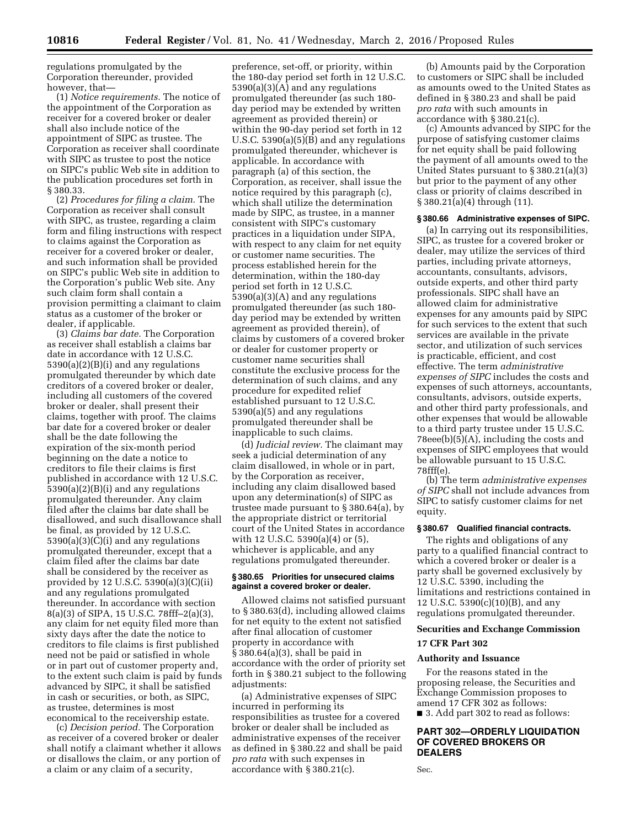regulations promulgated by the Corporation thereunder, provided however, that—

(1) *Notice requirements.* The notice of the appointment of the Corporation as receiver for a covered broker or dealer shall also include notice of the appointment of SIPC as trustee. The Corporation as receiver shall coordinate with SIPC as trustee to post the notice on SIPC's public Web site in addition to the publication procedures set forth in § 380.33.

(2) *Procedures for filing a claim.* The Corporation as receiver shall consult with SIPC, as trustee, regarding a claim form and filing instructions with respect to claims against the Corporation as receiver for a covered broker or dealer, and such information shall be provided on SIPC's public Web site in addition to the Corporation's public Web site. Any such claim form shall contain a provision permitting a claimant to claim status as a customer of the broker or dealer, if applicable.

(3) *Claims bar date.* The Corporation as receiver shall establish a claims bar date in accordance with 12 U.S.C. 5390(a)(2)(B)(i) and any regulations promulgated thereunder by which date creditors of a covered broker or dealer, including all customers of the covered broker or dealer, shall present their claims, together with proof. The claims bar date for a covered broker or dealer shall be the date following the expiration of the six-month period beginning on the date a notice to creditors to file their claims is first published in accordance with 12 U.S.C. 5390(a)(2)(B)(i) and any regulations promulgated thereunder. Any claim filed after the claims bar date shall be disallowed, and such disallowance shall be final, as provided by 12 U.S.C. 5390(a)(3)(C)(i) and any regulations promulgated thereunder, except that a claim filed after the claims bar date shall be considered by the receiver as provided by 12 U.S.C. 5390(a)(3)(C)(ii) and any regulations promulgated thereunder. In accordance with section 8(a)(3) of SIPA, 15 U.S.C. 78fff–2(a)(3), any claim for net equity filed more than sixty days after the date the notice to creditors to file claims is first published need not be paid or satisfied in whole or in part out of customer property and, to the extent such claim is paid by funds advanced by SIPC, it shall be satisfied in cash or securities, or both, as SIPC, as trustee, determines is most economical to the receivership estate.

(c) *Decision period.* The Corporation as receiver of a covered broker or dealer shall notify a claimant whether it allows or disallows the claim, or any portion of a claim or any claim of a security,

preference, set-off, or priority, within the 180-day period set forth in 12 U.S.C. 5390(a)(3)(A) and any regulations promulgated thereunder (as such 180 day period may be extended by written agreement as provided therein) or within the 90-day period set forth in 12 U.S.C. 5390(a)(5)(B) and any regulations promulgated thereunder, whichever is applicable. In accordance with paragraph (a) of this section, the Corporation, as receiver, shall issue the notice required by this paragraph (c), which shall utilize the determination made by SIPC, as trustee, in a manner consistent with SIPC's customary practices in a liquidation under SIPA, with respect to any claim for net equity or customer name securities. The process established herein for the determination, within the 180-day period set forth in 12 U.S.C. 5390(a)(3)(A) and any regulations promulgated thereunder (as such 180 day period may be extended by written agreement as provided therein), of claims by customers of a covered broker or dealer for customer property or customer name securities shall constitute the exclusive process for the determination of such claims, and any procedure for expedited relief established pursuant to 12 U.S.C. 5390(a)(5) and any regulations promulgated thereunder shall be inapplicable to such claims.

(d) *Judicial review.* The claimant may seek a judicial determination of any claim disallowed, in whole or in part, by the Corporation as receiver, including any claim disallowed based upon any determination(s) of SIPC as trustee made pursuant to § 380.64(a), by the appropriate district or territorial court of the United States in accordance with 12 U.S.C. 5390(a)(4) or (5), whichever is applicable, and any regulations promulgated thereunder.

## **§ 380.65 Priorities for unsecured claims against a covered broker or dealer.**

Allowed claims not satisfied pursuant to § 380.63(d), including allowed claims for net equity to the extent not satisfied after final allocation of customer property in accordance with § 380.64(a)(3), shall be paid in accordance with the order of priority set forth in § 380.21 subject to the following adjustments:

(a) Administrative expenses of SIPC incurred in performing its responsibilities as trustee for a covered broker or dealer shall be included as administrative expenses of the receiver as defined in § 380.22 and shall be paid *pro rata* with such expenses in accordance with § 380.21(c).

(b) Amounts paid by the Corporation to customers or SIPC shall be included as amounts owed to the United States as defined in § 380.23 and shall be paid *pro rata* with such amounts in accordance with § 380.21(c).

(c) Amounts advanced by SIPC for the purpose of satisfying customer claims for net equity shall be paid following the payment of all amounts owed to the United States pursuant to § 380.21(a)(3) but prior to the payment of any other class or priority of claims described in § 380.21(a)(4) through (11).

#### **§ 380.66 Administrative expenses of SIPC.**

(a) In carrying out its responsibilities, SIPC, as trustee for a covered broker or dealer, may utilize the services of third parties, including private attorneys, accountants, consultants, advisors, outside experts, and other third party professionals. SIPC shall have an allowed claim for administrative expenses for any amounts paid by SIPC for such services to the extent that such services are available in the private sector, and utilization of such services is practicable, efficient, and cost effective. The term *administrative expenses of SIPC* includes the costs and expenses of such attorneys, accountants, consultants, advisors, outside experts, and other third party professionals, and other expenses that would be allowable to a third party trustee under 15 U.S.C. 78eee(b)(5)(A), including the costs and expenses of SIPC employees that would be allowable pursuant to 15 U.S.C. 78fff(e).

(b) The term *administrative expenses of SIPC* shall not include advances from SIPC to satisfy customer claims for net equity.

## **§ 380.67 Qualified financial contracts.**

The rights and obligations of any party to a qualified financial contract to which a covered broker or dealer is a party shall be governed exclusively by 12 U.S.C. 5390, including the limitations and restrictions contained in 12 U.S.C. 5390(c)(10)(B), and any regulations promulgated thereunder.

#### **Securities and Exchange Commission**

# **17 CFR Part 302**

## **Authority and Issuance**

For the reasons stated in the proposing release, the Securities and Exchange Commission proposes to amend 17 CFR 302 as follows: ■ 3. Add part 302 to read as follows:

# **PART 302—ORDERLY LIQUIDATION OF COVERED BROKERS OR DEALERS**

Sec.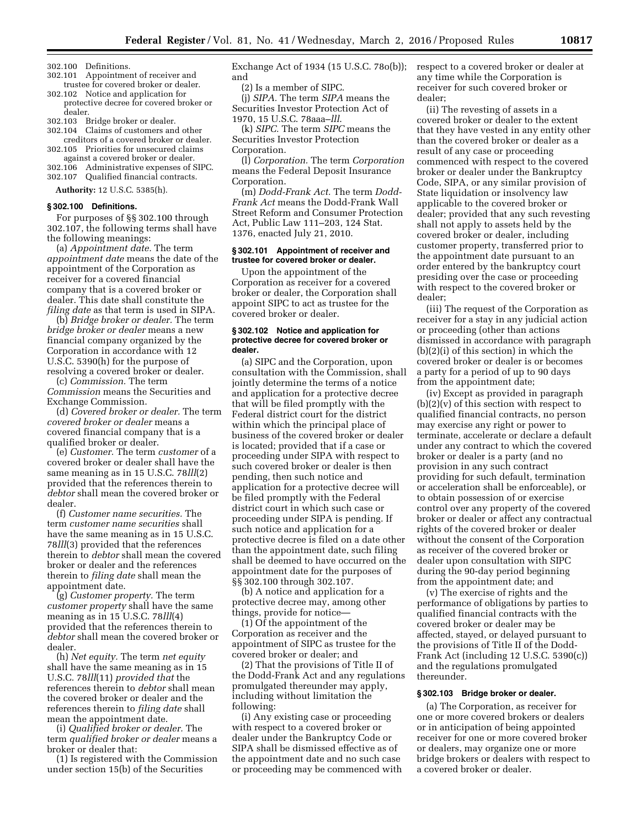- 302.100 Definitions.
- 302.101 Appointment of receiver and trustee for covered broker or dealer.
- 302.102 Notice and application for protective decree for covered broker or dealer.
- 302.103 Bridge broker or dealer.
- 302.104 Claims of customers and other creditors of a covered broker or dealer.
- 302.105 Priorities for unsecured claims against a covered broker or dealer.
- 302.106 Administrative expenses of SIPC. 302.107 Qualified financial contracts.

**Authority:** 12 U.S.C. 5385(h).

#### **§ 302.100 Definitions.**

For purposes of §§ 302.100 through 302.107, the following terms shall have the following meanings:

(a) *Appointment date.* The term *appointment date* means the date of the appointment of the Corporation as receiver for a covered financial company that is a covered broker or dealer. This date shall constitute the *filing date* as that term is used in SIPA.

(b) *Bridge broker or dealer.* The term *bridge broker or dealer* means a new financial company organized by the Corporation in accordance with 12 U.S.C. 5390(h) for the purpose of resolving a covered broker or dealer.

(c) *Commission.* The term *Commission* means the Securities and Exchange Commission.

(d) *Covered broker or dealer.* The term *covered broker or dealer* means a covered financial company that is a qualified broker or dealer.

(e) *Customer.* The term *customer* of a covered broker or dealer shall have the same meaning as in 15 U.S.C. 78*lll*(2) provided that the references therein to *debtor* shall mean the covered broker or dealer.

(f) *Customer name securities.* The term *customer name securities* shall have the same meaning as in 15 U.S.C. 78*lll*(3) provided that the references therein to *debtor* shall mean the covered broker or dealer and the references therein to *filing date* shall mean the appointment date.

(g) *Customer property.* The term *customer property* shall have the same meaning as in 15 U.S.C. 78*lll*(4) provided that the references therein to *debtor* shall mean the covered broker or dealer.

(h) *Net equity.* The term *net equity*  shall have the same meaning as in 15 U.S.C. 78*lll*(11) *provided that* the references therein to *debtor* shall mean the covered broker or dealer and the references therein to *filing date* shall mean the appointment date.

(i) *Qualified broker or dealer.* The term *qualified broker or dealer* means a broker or dealer that:

(1) Is registered with the Commission under section 15(b) of the Securities

Exchange Act of 1934 (15 U.S.C. 78o(b)); respect to a covered broker or dealer at and

(2) Is a member of SIPC.

(j) *SIPA.* The term *SIPA* means the Securities Investor Protection Act of 1970, 15 U.S.C. 78aaa–*lll*.

(k) *SIPC.* The term *SIPC* means the Securities Investor Protection Corporation.

(l) *Corporation.* The term *Corporation*  means the Federal Deposit Insurance Corporation.

(m) *Dodd-Frank Act.* The term *Dodd-Frank Act* means the Dodd-Frank Wall Street Reform and Consumer Protection Act, Public Law 111–203, 124 Stat. 1376, enacted July 21, 2010.

#### **§ 302.101 Appointment of receiver and trustee for covered broker or dealer.**

Upon the appointment of the Corporation as receiver for a covered broker or dealer, the Corporation shall appoint SIPC to act as trustee for the covered broker or dealer.

#### **§ 302.102 Notice and application for protective decree for covered broker or dealer.**

(a) SIPC and the Corporation, upon consultation with the Commission, shall jointly determine the terms of a notice and application for a protective decree that will be filed promptly with the Federal district court for the district within which the principal place of business of the covered broker or dealer is located; provided that if a case or proceeding under SIPA with respect to such covered broker or dealer is then pending, then such notice and application for a protective decree will be filed promptly with the Federal district court in which such case or proceeding under SIPA is pending. If such notice and application for a protective decree is filed on a date other than the appointment date, such filing shall be deemed to have occurred on the appointment date for the purposes of §§ 302.100 through 302.107.

(b) A notice and application for a protective decree may, among other things, provide for notice—

(1) Of the appointment of the Corporation as receiver and the appointment of SIPC as trustee for the covered broker or dealer; and

(2) That the provisions of Title II of the Dodd-Frank Act and any regulations promulgated thereunder may apply, including without limitation the following:

(i) Any existing case or proceeding with respect to a covered broker or dealer under the Bankruptcy Code or SIPA shall be dismissed effective as of the appointment date and no such case or proceeding may be commenced with any time while the Corporation is receiver for such covered broker or dealer;

(ii) The revesting of assets in a covered broker or dealer to the extent that they have vested in any entity other than the covered broker or dealer as a result of any case or proceeding commenced with respect to the covered broker or dealer under the Bankruptcy Code, SIPA, or any similar provision of State liquidation or insolvency law applicable to the covered broker or dealer; provided that any such revesting shall not apply to assets held by the covered broker or dealer, including customer property, transferred prior to the appointment date pursuant to an order entered by the bankruptcy court presiding over the case or proceeding with respect to the covered broker or dealer;

(iii) The request of the Corporation as receiver for a stay in any judicial action or proceeding (other than actions dismissed in accordance with paragraph (b)(2)(i) of this section) in which the covered broker or dealer is or becomes a party for a period of up to 90 days from the appointment date;

(iv) Except as provided in paragraph  $(b)(2)(v)$  of this section with respect to qualified financial contracts, no person may exercise any right or power to terminate, accelerate or declare a default under any contract to which the covered broker or dealer is a party (and no provision in any such contract providing for such default, termination or acceleration shall be enforceable), or to obtain possession of or exercise control over any property of the covered broker or dealer or affect any contractual rights of the covered broker or dealer without the consent of the Corporation as receiver of the covered broker or dealer upon consultation with SIPC during the 90-day period beginning from the appointment date; and

(v) The exercise of rights and the performance of obligations by parties to qualified financial contracts with the covered broker or dealer may be affected, stayed, or delayed pursuant to the provisions of Title II of the Dodd-Frank Act (including 12 U.S.C. 5390(c)) and the regulations promulgated thereunder.

# **§ 302.103 Bridge broker or dealer.**

(a) The Corporation, as receiver for one or more covered brokers or dealers or in anticipation of being appointed receiver for one or more covered broker or dealers, may organize one or more bridge brokers or dealers with respect to a covered broker or dealer.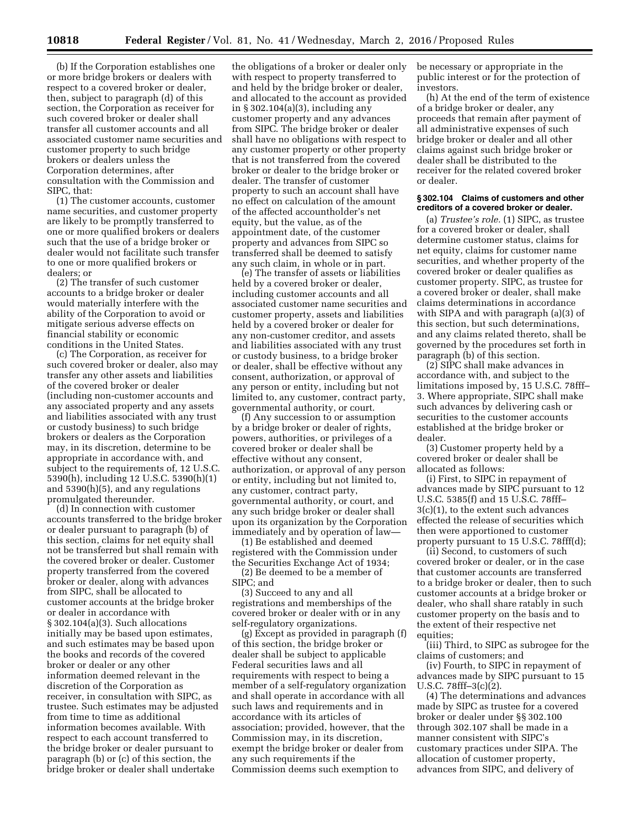(b) If the Corporation establishes one or more bridge brokers or dealers with respect to a covered broker or dealer, then, subject to paragraph (d) of this section, the Corporation as receiver for such covered broker or dealer shall transfer all customer accounts and all associated customer name securities and customer property to such bridge brokers or dealers unless the Corporation determines, after consultation with the Commission and SIPC, that:

(1) The customer accounts, customer name securities, and customer property are likely to be promptly transferred to one or more qualified brokers or dealers such that the use of a bridge broker or dealer would not facilitate such transfer to one or more qualified brokers or dealers; or

(2) The transfer of such customer accounts to a bridge broker or dealer would materially interfere with the ability of the Corporation to avoid or mitigate serious adverse effects on financial stability or economic conditions in the United States.

(c) The Corporation, as receiver for such covered broker or dealer, also may transfer any other assets and liabilities of the covered broker or dealer (including non-customer accounts and any associated property and any assets and liabilities associated with any trust or custody business) to such bridge brokers or dealers as the Corporation may, in its discretion, determine to be appropriate in accordance with, and subject to the requirements of, 12 U.S.C. 5390(h), including 12 U.S.C. 5390(h)(1) and 5390(h)(5), and any regulations promulgated thereunder.

(d) In connection with customer accounts transferred to the bridge broker or dealer pursuant to paragraph (b) of this section, claims for net equity shall not be transferred but shall remain with the covered broker or dealer. Customer property transferred from the covered broker or dealer, along with advances from SIPC, shall be allocated to customer accounts at the bridge broker or dealer in accordance with § 302.104(a)(3). Such allocations initially may be based upon estimates, and such estimates may be based upon the books and records of the covered broker or dealer or any other information deemed relevant in the discretion of the Corporation as receiver, in consultation with SIPC, as trustee. Such estimates may be adjusted from time to time as additional information becomes available. With respect to each account transferred to the bridge broker or dealer pursuant to paragraph (b) or (c) of this section, the bridge broker or dealer shall undertake

the obligations of a broker or dealer only with respect to property transferred to and held by the bridge broker or dealer, and allocated to the account as provided in § 302.104(a)(3), including any customer property and any advances from SIPC. The bridge broker or dealer shall have no obligations with respect to any customer property or other property that is not transferred from the covered broker or dealer to the bridge broker or dealer. The transfer of customer property to such an account shall have no effect on calculation of the amount of the affected accountholder's net equity, but the value, as of the appointment date, of the customer property and advances from SIPC so transferred shall be deemed to satisfy any such claim, in whole or in part.

(e) The transfer of assets or liabilities held by a covered broker or dealer, including customer accounts and all associated customer name securities and customer property, assets and liabilities held by a covered broker or dealer for any non-customer creditor, and assets and liabilities associated with any trust or custody business, to a bridge broker or dealer, shall be effective without any consent, authorization, or approval of any person or entity, including but not limited to, any customer, contract party, governmental authority, or court.

(f) Any succession to or assumption by a bridge broker or dealer of rights, powers, authorities, or privileges of a covered broker or dealer shall be effective without any consent, authorization, or approval of any person or entity, including but not limited to, any customer, contract party, governmental authority, or court, and any such bridge broker or dealer shall upon its organization by the Corporation immediately and by operation of law—

(1) Be established and deemed registered with the Commission under the Securities Exchange Act of 1934; (2) Be deemed to be a member of SIPC; and

(3) Succeed to any and all registrations and memberships of the covered broker or dealer with or in any self-regulatory organizations.

(g) Except as provided in paragraph (f) of this section, the bridge broker or dealer shall be subject to applicable Federal securities laws and all requirements with respect to being a member of a self-regulatory organization and shall operate in accordance with all such laws and requirements and in accordance with its articles of association; provided, however, that the Commission may, in its discretion, exempt the bridge broker or dealer from any such requirements if the Commission deems such exemption to

be necessary or appropriate in the public interest or for the protection of investors.

(h) At the end of the term of existence of a bridge broker or dealer, any proceeds that remain after payment of all administrative expenses of such bridge broker or dealer and all other claims against such bridge broker or dealer shall be distributed to the receiver for the related covered broker or dealer.

#### **§ 302.104 Claims of customers and other creditors of a covered broker or dealer.**

(a) *Trustee's role.* (1) SIPC, as trustee for a covered broker or dealer, shall determine customer status, claims for net equity, claims for customer name securities, and whether property of the covered broker or dealer qualifies as customer property. SIPC, as trustee for a covered broker or dealer, shall make claims determinations in accordance with SIPA and with paragraph (a)(3) of this section, but such determinations, and any claims related thereto, shall be governed by the procedures set forth in paragraph (b) of this section.

(2) SIPC shall make advances in accordance with, and subject to the limitations imposed by, 15 U.S.C. 78fff– 3. Where appropriate, SIPC shall make such advances by delivering cash or securities to the customer accounts established at the bridge broker or dealer.

(3) Customer property held by a covered broker or dealer shall be allocated as follows:

(i) First, to SIPC in repayment of advances made by SIPC pursuant to 12 U.S.C. 5385(f) and 15 U.S.C. 78fff– 3(c)(1), to the extent such advances effected the release of securities which then were apportioned to customer property pursuant to 15 U.S.C. 78fff(d);

(ii) Second, to customers of such covered broker or dealer, or in the case that customer accounts are transferred to a bridge broker or dealer, then to such customer accounts at a bridge broker or dealer, who shall share ratably in such customer property on the basis and to the extent of their respective net equities;

(iii) Third, to SIPC as subrogee for the claims of customers; and

(iv) Fourth, to SIPC in repayment of advances made by SIPC pursuant to 15 U.S.C. 78fff–3(c)(2).

(4) The determinations and advances made by SIPC as trustee for a covered broker or dealer under §§ 302.100 through 302.107 shall be made in a manner consistent with SIPC's customary practices under SIPA. The allocation of customer property, advances from SIPC, and delivery of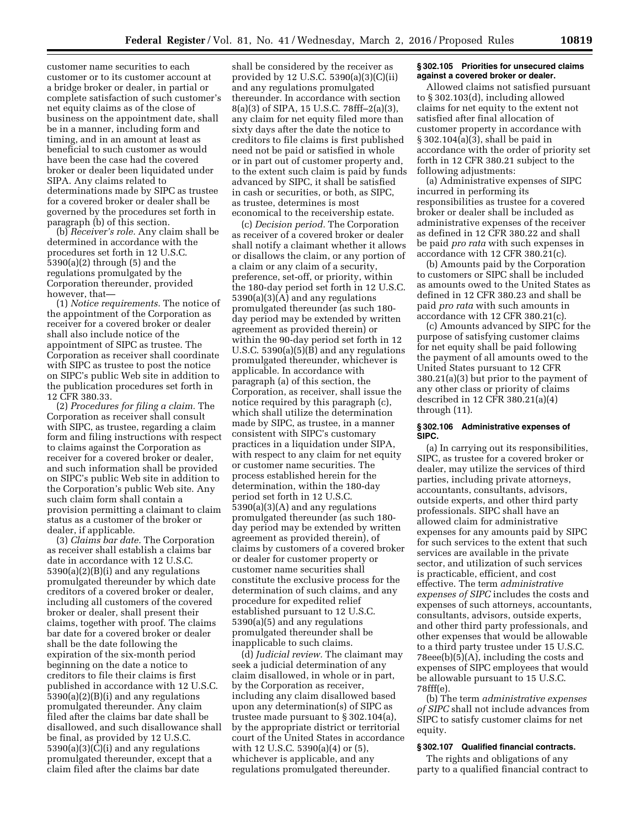customer name securities to each customer or to its customer account at a bridge broker or dealer, in partial or complete satisfaction of such customer's net equity claims as of the close of business on the appointment date, shall be in a manner, including form and timing, and in an amount at least as beneficial to such customer as would have been the case had the covered broker or dealer been liquidated under SIPA. Any claims related to determinations made by SIPC as trustee for a covered broker or dealer shall be governed by the procedures set forth in paragraph (b) of this section.

(b) *Receiver's role.* Any claim shall be determined in accordance with the procedures set forth in 12 U.S.C. 5390(a)(2) through (5) and the regulations promulgated by the Corporation thereunder, provided however, that—

(1) *Notice requirements.* The notice of the appointment of the Corporation as receiver for a covered broker or dealer shall also include notice of the appointment of SIPC as trustee. The Corporation as receiver shall coordinate with SIPC as trustee to post the notice on SIPC's public Web site in addition to the publication procedures set forth in 12 CFR 380.33.

(2) *Procedures for filing a claim.* The Corporation as receiver shall consult with SIPC, as trustee, regarding a claim form and filing instructions with respect to claims against the Corporation as receiver for a covered broker or dealer, and such information shall be provided on SIPC's public Web site in addition to the Corporation's public Web site. Any such claim form shall contain a provision permitting a claimant to claim status as a customer of the broker or dealer, if applicable.

(3) *Claims bar date.* The Corporation as receiver shall establish a claims bar date in accordance with 12 U.S.C. 5390(a)(2)(B)(i) and any regulations promulgated thereunder by which date creditors of a covered broker or dealer, including all customers of the covered broker or dealer, shall present their claims, together with proof. The claims bar date for a covered broker or dealer shall be the date following the expiration of the six-month period beginning on the date a notice to creditors to file their claims is first published in accordance with 12 U.S.C. 5390(a)(2)(B)(i) and any regulations promulgated thereunder. Any claim filed after the claims bar date shall be disallowed, and such disallowance shall be final, as provided by 12 U.S.C.  $5390(a)(3)(\overline{C})(i)$  and any regulations promulgated thereunder, except that a claim filed after the claims bar date

shall be considered by the receiver as provided by 12 U.S.C. 5390(a)(3)(C)(ii) and any regulations promulgated thereunder. In accordance with section 8(a)(3) of SIPA, 15 U.S.C. 78fff–2(a)(3), any claim for net equity filed more than sixty days after the date the notice to creditors to file claims is first published need not be paid or satisfied in whole or in part out of customer property and, to the extent such claim is paid by funds advanced by SIPC, it shall be satisfied in cash or securities, or both, as SIPC, as trustee, determines is most economical to the receivership estate.

(c) *Decision period.* The Corporation as receiver of a covered broker or dealer shall notify a claimant whether it allows or disallows the claim, or any portion of a claim or any claim of a security, preference, set-off, or priority, within the 180-day period set forth in 12 U.S.C. 5390(a)(3)(A) and any regulations promulgated thereunder (as such 180 day period may be extended by written agreement as provided therein) or within the 90-day period set forth in 12 U.S.C. 5390(a) $(5)(\overline{B})$  and any regulations promulgated thereunder, whichever is applicable. In accordance with paragraph (a) of this section, the Corporation, as receiver, shall issue the notice required by this paragraph (c), which shall utilize the determination made by SIPC, as trustee, in a manner consistent with SIPC's customary practices in a liquidation under SIPA, with respect to any claim for net equity or customer name securities. The process established herein for the determination, within the 180-day period set forth in 12 U.S.C. 5390(a)(3)(A) and any regulations promulgated thereunder (as such 180 day period may be extended by written agreement as provided therein), of claims by customers of a covered broker or dealer for customer property or customer name securities shall constitute the exclusive process for the determination of such claims, and any procedure for expedited relief established pursuant to 12 U.S.C. 5390(a)(5) and any regulations promulgated thereunder shall be inapplicable to such claims.

(d) *Judicial review.* The claimant may seek a judicial determination of any claim disallowed, in whole or in part, by the Corporation as receiver, including any claim disallowed based upon any determination(s) of SIPC as trustee made pursuant to § 302.104(a), by the appropriate district or territorial court of the United States in accordance with 12 U.S.C. 5390(a)(4) or (5), whichever is applicable, and any regulations promulgated thereunder.

#### **§ 302.105 Priorities for unsecured claims against a covered broker or dealer.**

Allowed claims not satisfied pursuant to § 302.103(d), including allowed claims for net equity to the extent not satisfied after final allocation of customer property in accordance with § 302.104(a)(3), shall be paid in accordance with the order of priority set forth in 12 CFR 380.21 subject to the following adjustments:

(a) Administrative expenses of SIPC incurred in performing its responsibilities as trustee for a covered broker or dealer shall be included as administrative expenses of the receiver as defined in 12 CFR 380.22 and shall be paid *pro rata* with such expenses in accordance with 12 CFR 380.21(c).

(b) Amounts paid by the Corporation to customers or SIPC shall be included as amounts owed to the United States as defined in 12 CFR 380.23 and shall be paid *pro rata* with such amounts in accordance with 12 CFR 380.21(c).

(c) Amounts advanced by SIPC for the purpose of satisfying customer claims for net equity shall be paid following the payment of all amounts owed to the United States pursuant to 12 CFR 380.21(a)(3) but prior to the payment of any other class or priority of claims described in 12 CFR 380.21(a)(4) through (11).

#### **§ 302.106 Administrative expenses of SIPC.**

(a) In carrying out its responsibilities, SIPC, as trustee for a covered broker or dealer, may utilize the services of third parties, including private attorneys, accountants, consultants, advisors, outside experts, and other third party professionals. SIPC shall have an allowed claim for administrative expenses for any amounts paid by SIPC for such services to the extent that such services are available in the private sector, and utilization of such services is practicable, efficient, and cost effective. The term *administrative expenses of SIPC* includes the costs and expenses of such attorneys, accountants, consultants, advisors, outside experts, and other third party professionals, and other expenses that would be allowable to a third party trustee under 15 U.S.C. 78eee(b)(5)(A), including the costs and expenses of SIPC employees that would be allowable pursuant to 15 U.S.C. 78fff(e).

(b) The term *administrative expenses of SIPC* shall not include advances from SIPC to satisfy customer claims for net equity.

#### **§ 302.107 Qualified financial contracts.**

The rights and obligations of any party to a qualified financial contract to